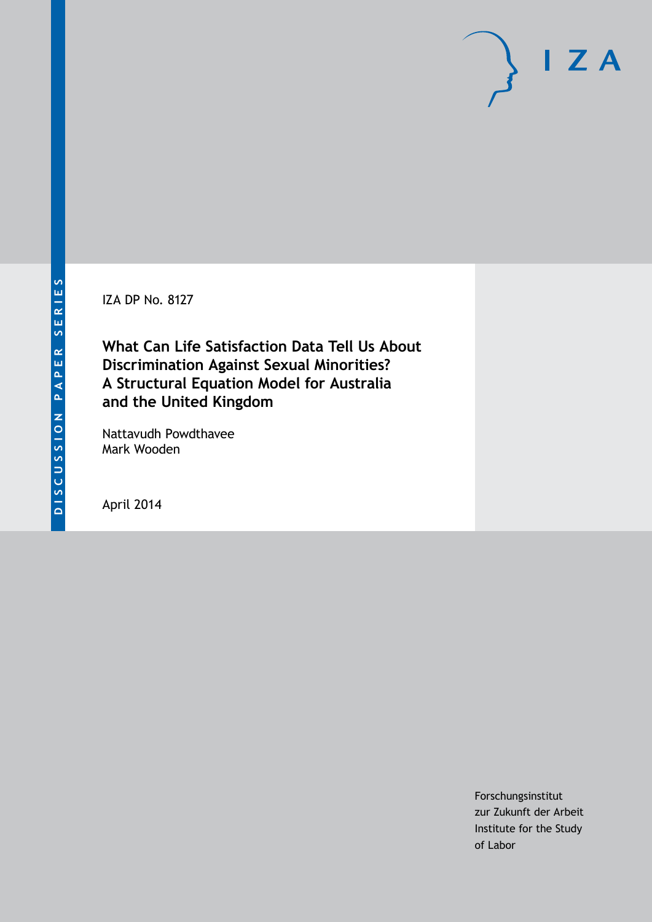IZA DP No. 8127

**What Can Life Satisfaction Data Tell Us About Discrimination Against Sexual Minorities? A Structural Equation Model for Australia and the United Kingdom**

Nattavudh Powdthavee Mark Wooden

April 2014

Forschungsinstitut zur Zukunft der Arbeit Institute for the Study of Labor

 $I Z A$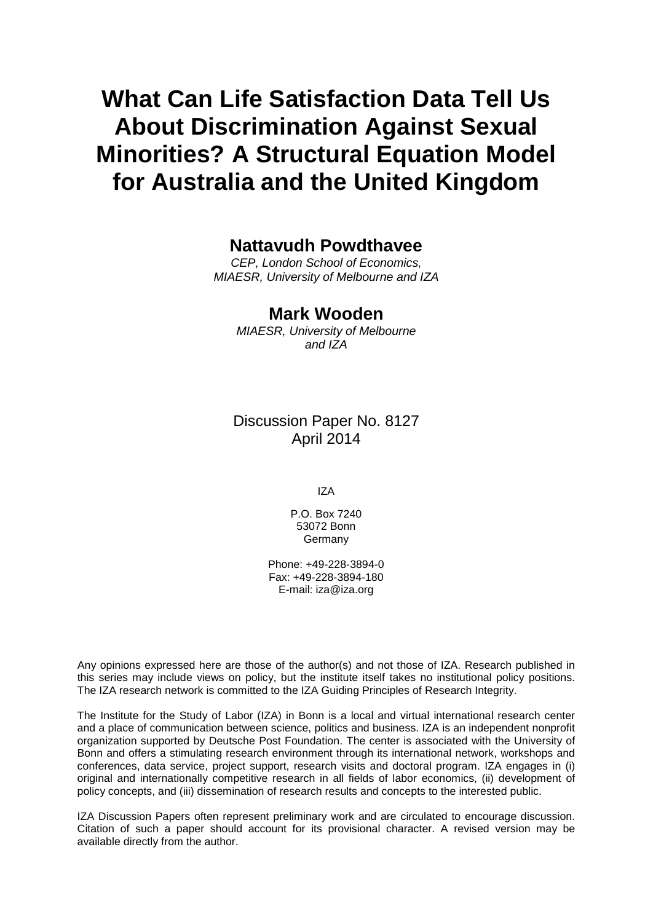# **What Can Life Satisfaction Data Tell Us About Discrimination Against Sexual Minorities? A Structural Equation Model for Australia and the United Kingdom**

### **Nattavudh Powdthavee**

*CEP, London School of Economics, MIAESR, University of Melbourne and IZA*

### **Mark Wooden**

*MIAESR, University of Melbourne and IZA*

Discussion Paper No. 8127 April 2014

IZA

P.O. Box 7240 53072 Bonn Germany

Phone: +49-228-3894-0 Fax: +49-228-3894-180 E-mail: [iza@iza.org](mailto:iza@iza.org)

Any opinions expressed here are those of the author(s) and not those of IZA. Research published in this series may include views on policy, but the institute itself takes no institutional policy positions. The IZA research network is committed to the IZA Guiding Principles of Research Integrity.

The Institute for the Study of Labor (IZA) in Bonn is a local and virtual international research center and a place of communication between science, politics and business. IZA is an independent nonprofit organization supported by Deutsche Post Foundation. The center is associated with the University of Bonn and offers a stimulating research environment through its international network, workshops and conferences, data service, project support, research visits and doctoral program. IZA engages in (i) original and internationally competitive research in all fields of labor economics, (ii) development of policy concepts, and (iii) dissemination of research results and concepts to the interested public.

<span id="page-1-0"></span>IZA Discussion Papers often represent preliminary work and are circulated to encourage discussion. Citation of such a paper should account for its provisional character. A revised version may be available directly from the author.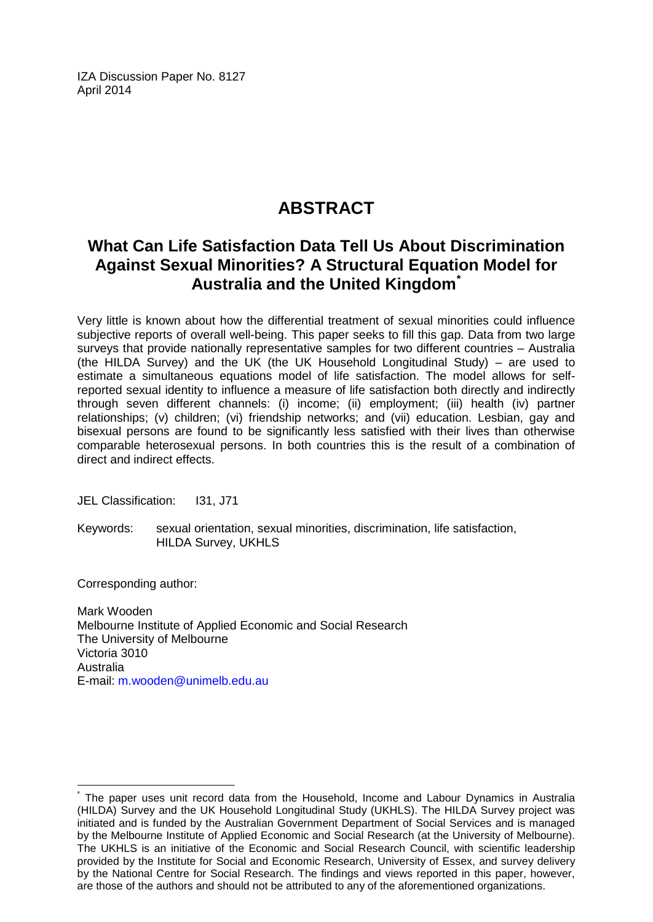IZA Discussion Paper No. 8127 April 2014

# **ABSTRACT**

# **What Can Life Satisfaction Data Tell Us About Discrimination Against Sexual Minorities? A Structural Equation Model for Australia and the United Kingdom[\\*](#page-1-0)**

Very little is known about how the differential treatment of sexual minorities could influence subjective reports of overall well-being. This paper seeks to fill this gap. Data from two large surveys that provide nationally representative samples for two different countries – Australia (the HILDA Survey) and the UK (the UK Household Longitudinal Study) – are used to estimate a simultaneous equations model of life satisfaction. The model allows for selfreported sexual identity to influence a measure of life satisfaction both directly and indirectly through seven different channels: (i) income; (ii) employment; (iii) health (iv) partner relationships; (v) children; (vi) friendship networks; and (vii) education. Lesbian, gay and bisexual persons are found to be significantly less satisfied with their lives than otherwise comparable heterosexual persons. In both countries this is the result of a combination of direct and indirect effects.

JEL Classification: I31, J71

Keywords: sexual orientation, sexual minorities, discrimination, life satisfaction, HILDA Survey, UKHLS

Corresponding author:

Mark Wooden Melbourne Institute of Applied Economic and Social Research The University of Melbourne Victoria 3010 Australia E-mail: [m.wooden@unimelb.edu.au](mailto:m.wooden@unimelb.edu.au)

The paper uses unit record data from the Household, Income and Labour Dynamics in Australia (HILDA) Survey and the UK Household Longitudinal Study (UKHLS). The HILDA Survey project was initiated and is funded by the Australian Government Department of Social Services and is managed by the Melbourne Institute of Applied Economic and Social Research (at the University of Melbourne). The UKHLS is an initiative of the Economic and Social Research Council, with scientific leadership provided by the Institute for Social and Economic Research, University of Essex, and survey delivery by the National Centre for Social Research. The findings and views reported in this paper, however, are those of the authors and should not be attributed to any of the aforementioned organizations.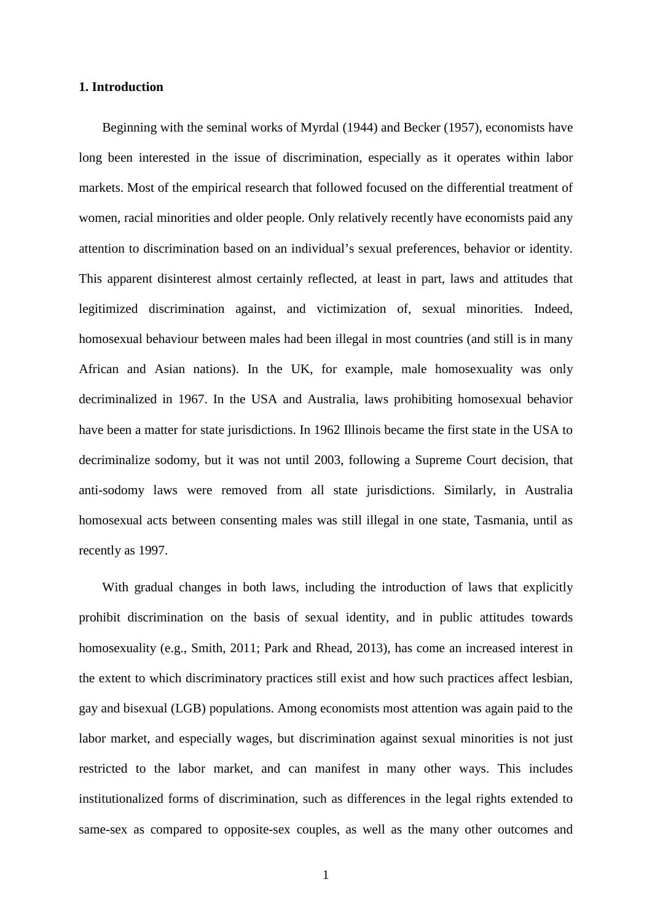#### **1. Introduction**

Beginning with the seminal works of Myrdal (1944) and Becker (1957), economists have long been interested in the issue of discrimination, especially as it operates within labor markets. Most of the empirical research that followed focused on the differential treatment of women, racial minorities and older people. Only relatively recently have economists paid any attention to discrimination based on an individual's sexual preferences, behavior or identity. This apparent disinterest almost certainly reflected, at least in part, laws and attitudes that legitimized discrimination against, and victimization of, sexual minorities. Indeed, homosexual behaviour between males had been illegal in most countries (and still is in many African and Asian nations). In the UK, for example, male homosexuality was only decriminalized in 1967. In the USA and Australia, laws prohibiting homosexual behavior have been a matter for state jurisdictions. In 1962 Illinois became the first state in the USA to decriminalize sodomy, but it was not until 2003, following a Supreme Court decision, that anti-sodomy laws were removed from all state jurisdictions. Similarly, in Australia homosexual acts between consenting males was still illegal in one state, Tasmania, until as recently as 1997.

With gradual changes in both laws, including the introduction of laws that explicitly prohibit discrimination on the basis of sexual identity, and in public attitudes towards homosexuality (e.g., Smith, 2011; Park and Rhead, 2013), has come an increased interest in the extent to which discriminatory practices still exist and how such practices affect lesbian, gay and bisexual (LGB) populations. Among economists most attention was again paid to the labor market, and especially wages, but discrimination against sexual minorities is not just restricted to the labor market, and can manifest in many other ways. This includes institutionalized forms of discrimination, such as differences in the legal rights extended to same-sex as compared to opposite-sex couples, as well as the many other outcomes and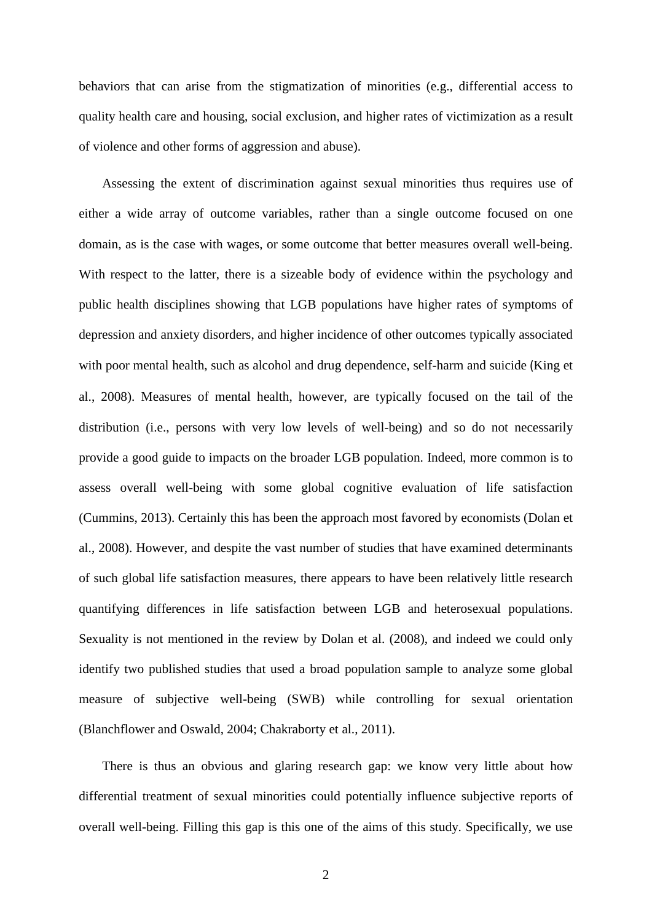behaviors that can arise from the stigmatization of minorities (e.g., differential access to quality health care and housing, social exclusion, and higher rates of victimization as a result of violence and other forms of aggression and abuse).

Assessing the extent of discrimination against sexual minorities thus requires use of either a wide array of outcome variables, rather than a single outcome focused on one domain, as is the case with wages, or some outcome that better measures overall well-being. With respect to the latter, there is a sizeable body of evidence within the psychology and public health disciplines showing that LGB populations have higher rates of symptoms of depression and anxiety disorders, and higher incidence of other outcomes typically associated with poor mental health, such as alcohol and drug dependence, self-harm and suicide (King et al., 2008). Measures of mental health, however, are typically focused on the tail of the distribution (i.e., persons with very low levels of well-being) and so do not necessarily provide a good guide to impacts on the broader LGB population. Indeed, more common is to assess overall well-being with some global cognitive evaluation of life satisfaction (Cummins, 2013). Certainly this has been the approach most favored by economists (Dolan et al., 2008). However, and despite the vast number of studies that have examined determinants of such global life satisfaction measures, there appears to have been relatively little research quantifying differences in life satisfaction between LGB and heterosexual populations. Sexuality is not mentioned in the review by Dolan et al. (2008), and indeed we could only identify two published studies that used a broad population sample to analyze some global measure of subjective well-being (SWB) while controlling for sexual orientation (Blanchflower and Oswald, 2004; Chakraborty et al., 2011).

There is thus an obvious and glaring research gap: we know very little about how differential treatment of sexual minorities could potentially influence subjective reports of overall well-being. Filling this gap is this one of the aims of this study. Specifically, we use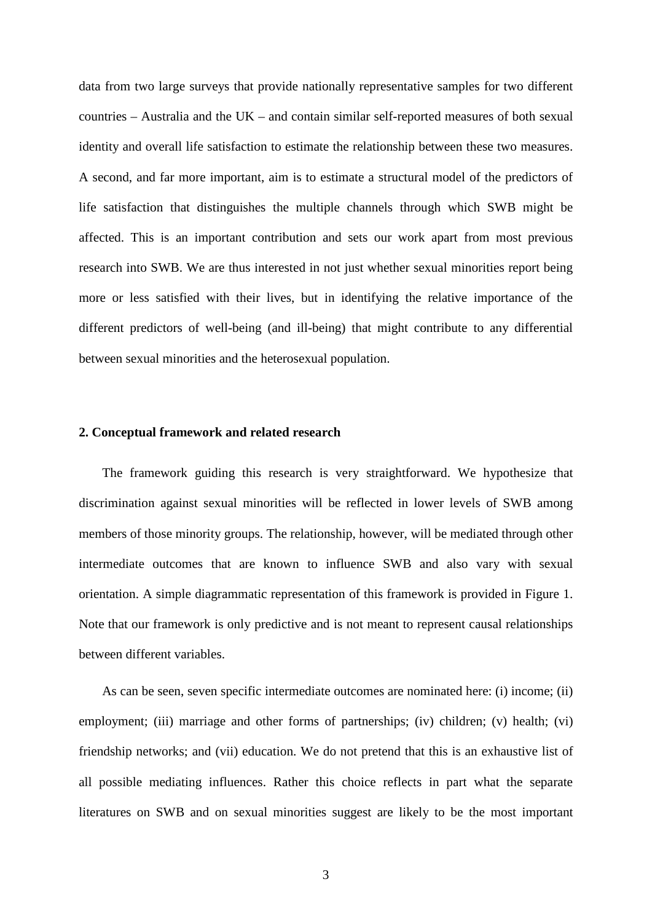data from two large surveys that provide nationally representative samples for two different countries – Australia and the UK – and contain similar self-reported measures of both sexual identity and overall life satisfaction to estimate the relationship between these two measures. A second, and far more important, aim is to estimate a structural model of the predictors of life satisfaction that distinguishes the multiple channels through which SWB might be affected. This is an important contribution and sets our work apart from most previous research into SWB. We are thus interested in not just whether sexual minorities report being more or less satisfied with their lives, but in identifying the relative importance of the different predictors of well-being (and ill-being) that might contribute to any differential between sexual minorities and the heterosexual population.

#### **2. Conceptual framework and related research**

The framework guiding this research is very straightforward. We hypothesize that discrimination against sexual minorities will be reflected in lower levels of SWB among members of those minority groups. The relationship, however, will be mediated through other intermediate outcomes that are known to influence SWB and also vary with sexual orientation. A simple diagrammatic representation of this framework is provided in Figure 1. Note that our framework is only predictive and is not meant to represent causal relationships between different variables.

As can be seen, seven specific intermediate outcomes are nominated here: (i) income; (ii) employment; (iii) marriage and other forms of partnerships; (iv) children; (v) health; (vi) friendship networks; and (vii) education. We do not pretend that this is an exhaustive list of all possible mediating influences. Rather this choice reflects in part what the separate literatures on SWB and on sexual minorities suggest are likely to be the most important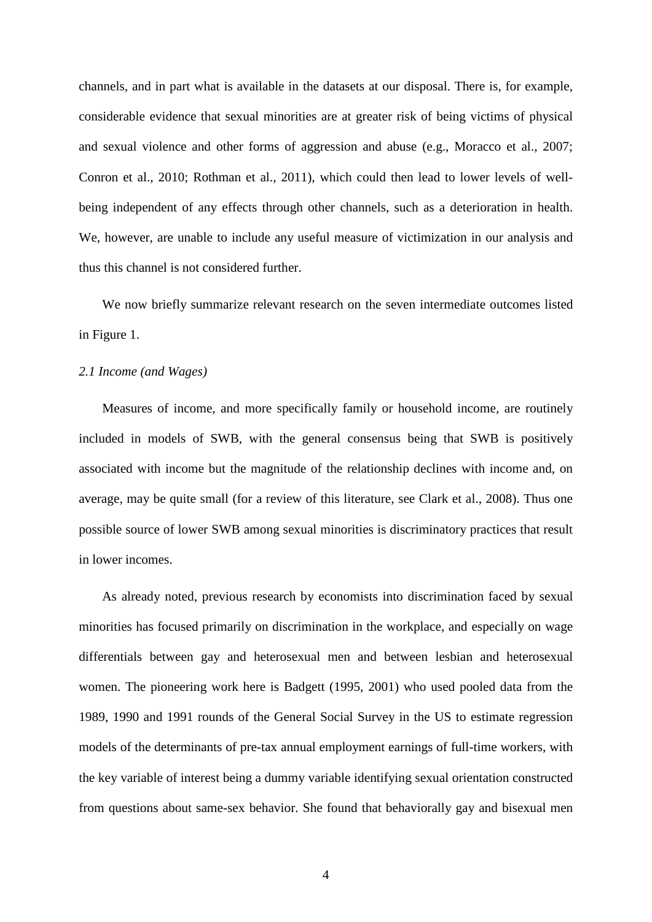channels, and in part what is available in the datasets at our disposal. There is, for example, considerable evidence that sexual minorities are at greater risk of being victims of physical and sexual violence and other forms of aggression and abuse (e.g., Moracco et al., 2007; Conron et al., 2010; Rothman et al., 2011), which could then lead to lower levels of wellbeing independent of any effects through other channels, such as a deterioration in health. We, however, are unable to include any useful measure of victimization in our analysis and thus this channel is not considered further.

We now briefly summarize relevant research on the seven intermediate outcomes listed in Figure 1.

#### *2.1 Income (and Wages)*

Measures of income, and more specifically family or household income, are routinely included in models of SWB, with the general consensus being that SWB is positively associated with income but the magnitude of the relationship declines with income and, on average, may be quite small (for a review of this literature, see Clark et al., 2008). Thus one possible source of lower SWB among sexual minorities is discriminatory practices that result in lower incomes.

As already noted, previous research by economists into discrimination faced by sexual minorities has focused primarily on discrimination in the workplace, and especially on wage differentials between gay and heterosexual men and between lesbian and heterosexual women. The pioneering work here is Badgett (1995, 2001) who used pooled data from the 1989, 1990 and 1991 rounds of the General Social Survey in the US to estimate regression models of the determinants of pre-tax annual employment earnings of full-time workers, with the key variable of interest being a dummy variable identifying sexual orientation constructed from questions about same-sex behavior. She found that behaviorally gay and bisexual men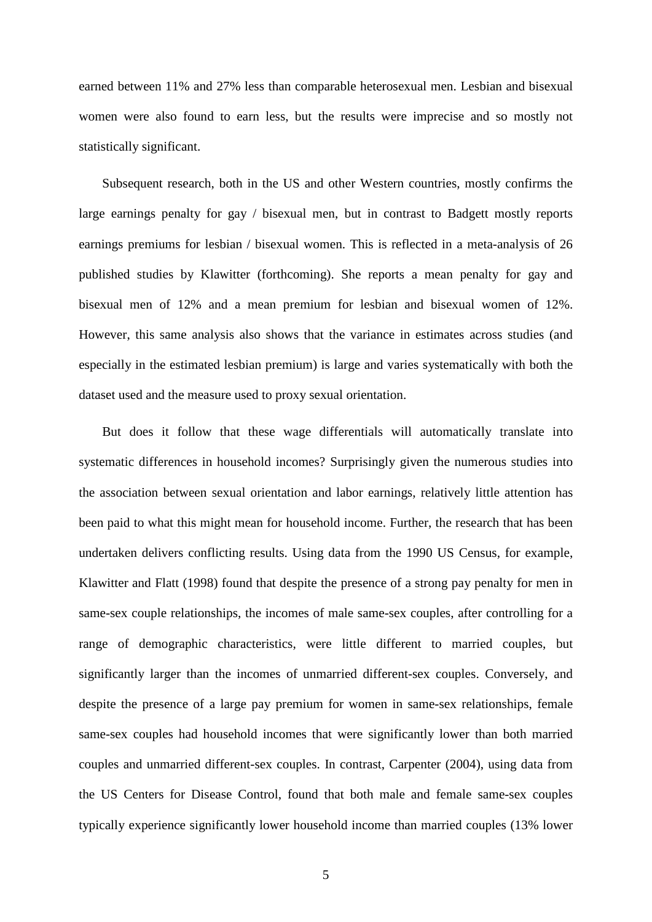earned between 11% and 27% less than comparable heterosexual men. Lesbian and bisexual women were also found to earn less, but the results were imprecise and so mostly not statistically significant.

Subsequent research, both in the US and other Western countries, mostly confirms the large earnings penalty for gay / bisexual men, but in contrast to Badgett mostly reports earnings premiums for lesbian / bisexual women. This is reflected in a meta-analysis of 26 published studies by Klawitter (forthcoming). She reports a mean penalty for gay and bisexual men of 12% and a mean premium for lesbian and bisexual women of 12%. However, this same analysis also shows that the variance in estimates across studies (and especially in the estimated lesbian premium) is large and varies systematically with both the dataset used and the measure used to proxy sexual orientation.

But does it follow that these wage differentials will automatically translate into systematic differences in household incomes? Surprisingly given the numerous studies into the association between sexual orientation and labor earnings, relatively little attention has been paid to what this might mean for household income. Further, the research that has been undertaken delivers conflicting results. Using data from the 1990 US Census, for example, Klawitter and Flatt (1998) found that despite the presence of a strong pay penalty for men in same-sex couple relationships, the incomes of male same-sex couples, after controlling for a range of demographic characteristics, were little different to married couples, but significantly larger than the incomes of unmarried different-sex couples. Conversely, and despite the presence of a large pay premium for women in same-sex relationships, female same-sex couples had household incomes that were significantly lower than both married couples and unmarried different-sex couples. In contrast, Carpenter (2004), using data from the US Centers for Disease Control, found that both male and female same-sex couples typically experience significantly lower household income than married couples (13% lower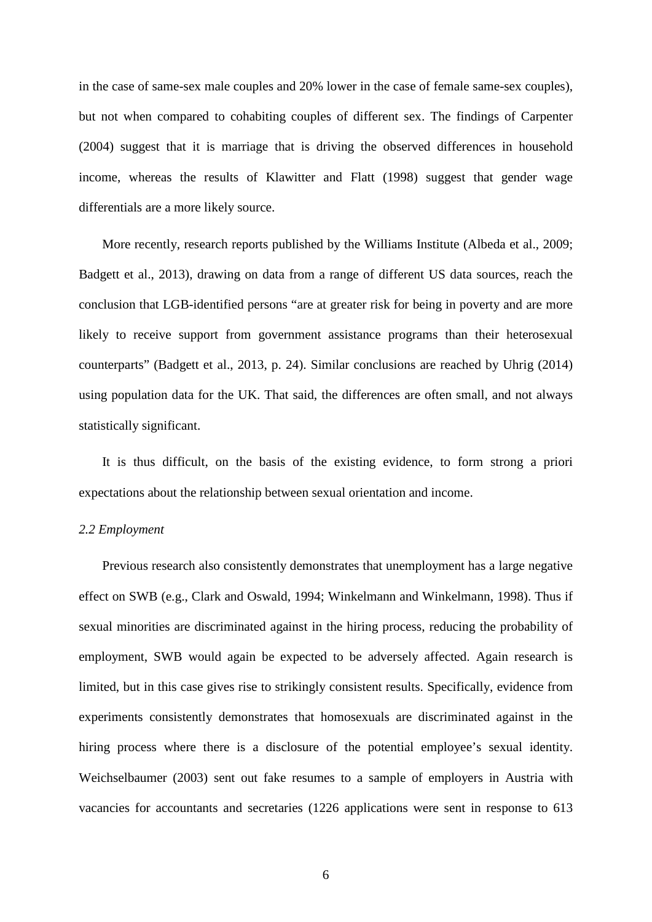in the case of same-sex male couples and 20% lower in the case of female same-sex couples), but not when compared to cohabiting couples of different sex. The findings of Carpenter (2004) suggest that it is marriage that is driving the observed differences in household income, whereas the results of Klawitter and Flatt (1998) suggest that gender wage differentials are a more likely source.

More recently, research reports published by the Williams Institute (Albeda et al., 2009; Badgett et al., 2013), drawing on data from a range of different US data sources, reach the conclusion that LGB-identified persons "are at greater risk for being in poverty and are more likely to receive support from government assistance programs than their heterosexual counterparts" (Badgett et al., 2013, p. 24). Similar conclusions are reached by Uhrig (2014) using population data for the UK. That said, the differences are often small, and not always statistically significant.

It is thus difficult, on the basis of the existing evidence, to form strong a priori expectations about the relationship between sexual orientation and income.

#### *2.2 Employment*

Previous research also consistently demonstrates that unemployment has a large negative effect on SWB (e.g., Clark and Oswald, 1994; Winkelmann and Winkelmann, 1998). Thus if sexual minorities are discriminated against in the hiring process, reducing the probability of employment, SWB would again be expected to be adversely affected. Again research is limited, but in this case gives rise to strikingly consistent results. Specifically, evidence from experiments consistently demonstrates that homosexuals are discriminated against in the hiring process where there is a disclosure of the potential employee's sexual identity. Weichselbaumer (2003) sent out fake resumes to a sample of employers in Austria with vacancies for accountants and secretaries (1226 applications were sent in response to 613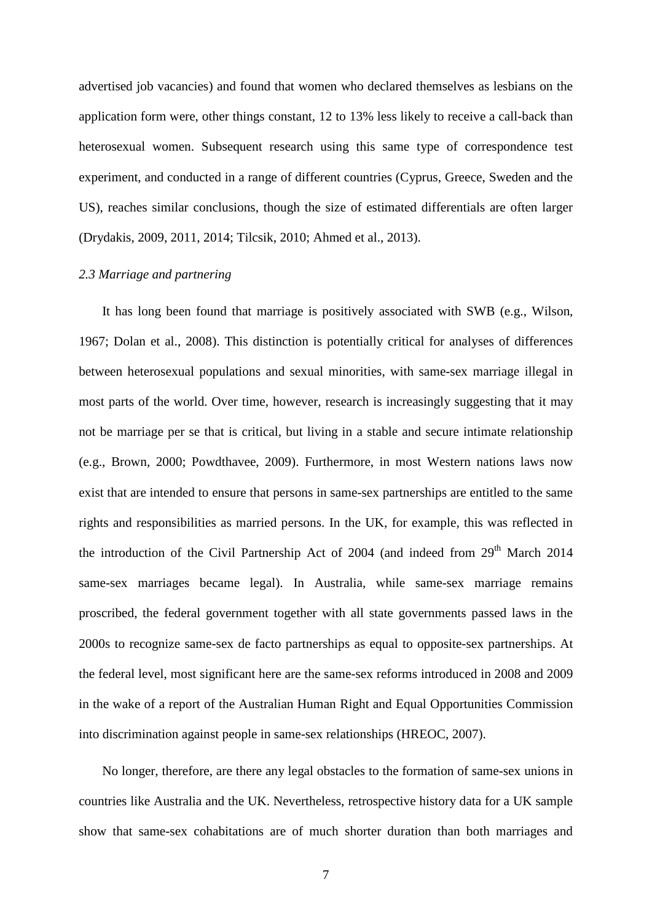advertised job vacancies) and found that women who declared themselves as lesbians on the application form were, other things constant, 12 to 13% less likely to receive a call-back than heterosexual women. Subsequent research using this same type of correspondence test experiment, and conducted in a range of different countries (Cyprus, Greece, Sweden and the US), reaches similar conclusions, though the size of estimated differentials are often larger (Drydakis, 2009, 2011, 2014; Tilcsik, 2010; Ahmed et al., 2013).

#### *2.3 Marriage and partnering*

It has long been found that marriage is positively associated with SWB (e.g., Wilson, 1967; Dolan et al., 2008). This distinction is potentially critical for analyses of differences between heterosexual populations and sexual minorities, with same-sex marriage illegal in most parts of the world. Over time, however, research is increasingly suggesting that it may not be marriage per se that is critical, but living in a stable and secure intimate relationship (e.g., Brown, 2000; Powdthavee, 2009). Furthermore, in most Western nations laws now exist that are intended to ensure that persons in same-sex partnerships are entitled to the same rights and responsibilities as married persons. In the UK, for example, this was reflected in the introduction of the Civil Partnership Act of  $2004$  (and indeed from  $29<sup>th</sup>$  March 2014 same-sex marriages became legal). In Australia, while same-sex marriage remains proscribed, the federal government together with all state governments passed laws in the 2000s to recognize same-sex de facto partnerships as equal to opposite-sex partnerships. At the federal level, most significant here are the same-sex reforms introduced in 2008 and 2009 in the wake of a report of the Australian Human Right and Equal Opportunities Commission into discrimination against people in same-sex relationships (HREOC, 2007).

No longer, therefore, are there any legal obstacles to the formation of same-sex unions in countries like Australia and the UK. Nevertheless, retrospective history data for a UK sample show that same-sex cohabitations are of much shorter duration than both marriages and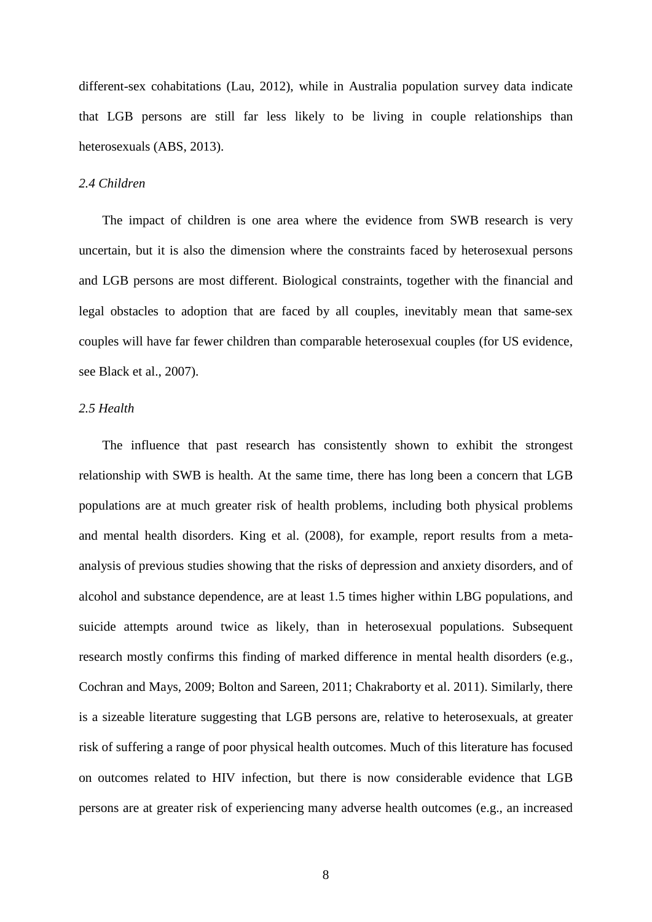different-sex cohabitations (Lau, 2012), while in Australia population survey data indicate that LGB persons are still far less likely to be living in couple relationships than heterosexuals (ABS, 2013).

#### *2.4 Children*

The impact of children is one area where the evidence from SWB research is very uncertain, but it is also the dimension where the constraints faced by heterosexual persons and LGB persons are most different. Biological constraints, together with the financial and legal obstacles to adoption that are faced by all couples, inevitably mean that same-sex couples will have far fewer children than comparable heterosexual couples (for US evidence, see Black et al., 2007).

#### *2.5 Health*

The influence that past research has consistently shown to exhibit the strongest relationship with SWB is health. At the same time, there has long been a concern that LGB populations are at much greater risk of health problems, including both physical problems and mental health disorders. King et al. (2008), for example, report results from a metaanalysis of previous studies showing that the risks of depression and anxiety disorders, and of alcohol and substance dependence, are at least 1.5 times higher within LBG populations, and suicide attempts around twice as likely, than in heterosexual populations. Subsequent research mostly confirms this finding of marked difference in mental health disorders (e.g., Cochran and Mays, 2009; Bolton and Sareen, 2011; Chakraborty et al. 2011). Similarly, there is a sizeable literature suggesting that LGB persons are, relative to heterosexuals, at greater risk of suffering a range of poor physical health outcomes. Much of this literature has focused on outcomes related to HIV infection, but there is now considerable evidence that LGB persons are at greater risk of experiencing many adverse health outcomes (e.g., an increased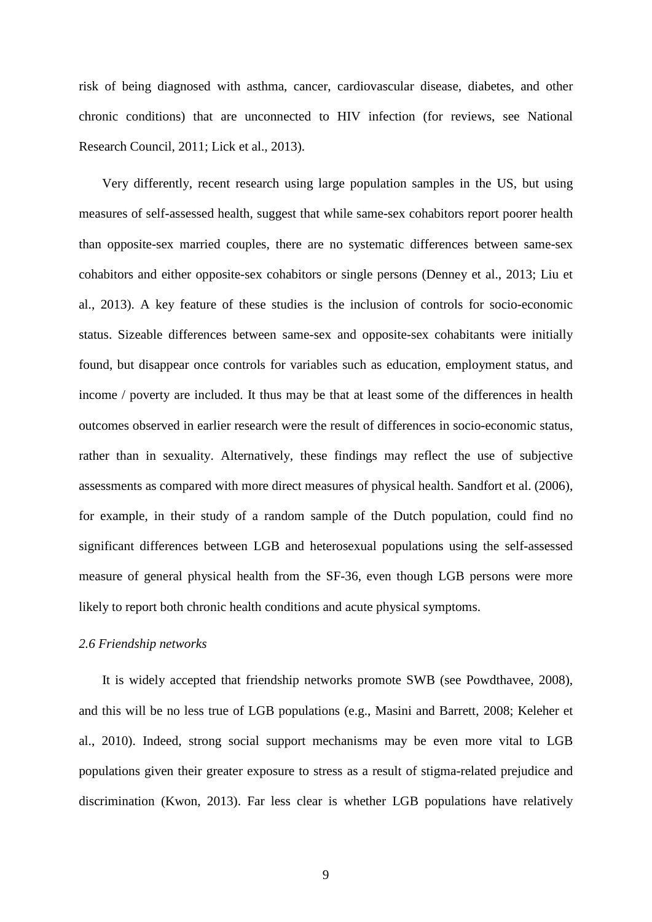risk of being diagnosed with asthma, cancer, cardiovascular disease, diabetes, and other chronic conditions) that are unconnected to HIV infection (for reviews, see National Research Council, 2011; Lick et al., 2013).

Very differently, recent research using large population samples in the US, but using measures of self-assessed health, suggest that while same-sex cohabitors report poorer health than opposite-sex married couples, there are no systematic differences between same-sex cohabitors and either opposite-sex cohabitors or single persons (Denney et al., 2013; Liu et al., 2013). A key feature of these studies is the inclusion of controls for socio-economic status. Sizeable differences between same-sex and opposite-sex cohabitants were initially found, but disappear once controls for variables such as education, employment status, and income / poverty are included. It thus may be that at least some of the differences in health outcomes observed in earlier research were the result of differences in socio-economic status, rather than in sexuality. Alternatively, these findings may reflect the use of subjective assessments as compared with more direct measures of physical health. Sandfort et al. (2006), for example, in their study of a random sample of the Dutch population, could find no significant differences between LGB and heterosexual populations using the self-assessed measure of general physical health from the SF-36, even though LGB persons were more likely to report both chronic health conditions and acute physical symptoms.

#### *2.6 Friendship networks*

It is widely accepted that friendship networks promote SWB (see Powdthavee, 2008), and this will be no less true of LGB populations (e.g., Masini and Barrett, 2008; Keleher et al., 2010). Indeed, strong social support mechanisms may be even more vital to LGB populations given their greater exposure to stress as a result of stigma-related prejudice and discrimination (Kwon, 2013). Far less clear is whether LGB populations have relatively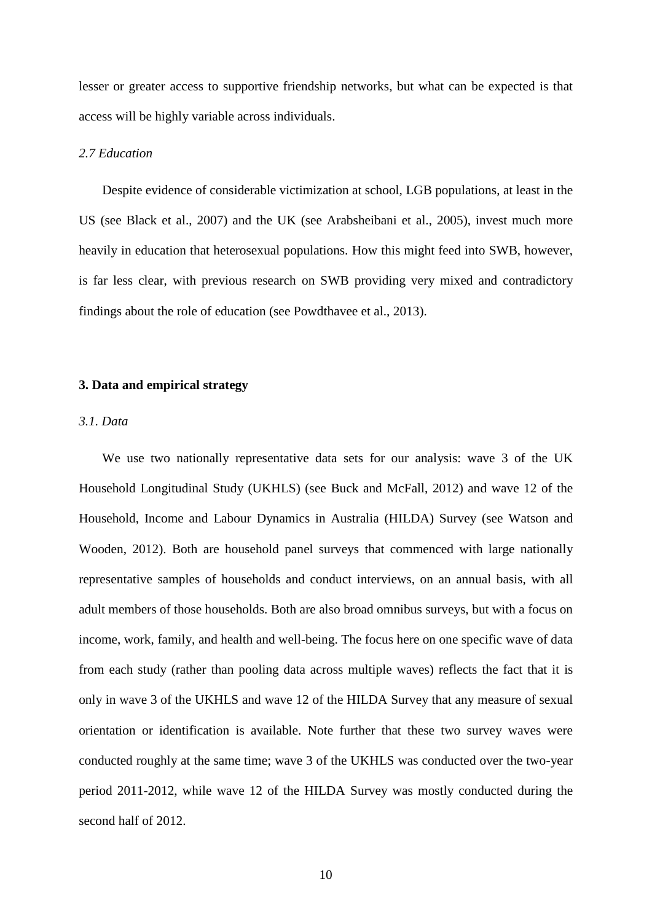lesser or greater access to supportive friendship networks, but what can be expected is that access will be highly variable across individuals.

#### *2.7 Education*

Despite evidence of considerable victimization at school, LGB populations, at least in the US (see Black et al., 2007) and the UK (see Arabsheibani et al., 2005), invest much more heavily in education that heterosexual populations. How this might feed into SWB, however, is far less clear, with previous research on SWB providing very mixed and contradictory findings about the role of education (see Powdthavee et al., 2013).

#### **3. Data and empirical strategy**

#### *3.1. Data*

We use two nationally representative data sets for our analysis: wave 3 of the UK Household Longitudinal Study (UKHLS) (see Buck and McFall, 2012) and wave 12 of the Household, Income and Labour Dynamics in Australia (HILDA) Survey (see Watson and Wooden, 2012). Both are household panel surveys that commenced with large nationally representative samples of households and conduct interviews, on an annual basis, with all adult members of those households. Both are also broad omnibus surveys, but with a focus on income, work, family, and health and well-being. The focus here on one specific wave of data from each study (rather than pooling data across multiple waves) reflects the fact that it is only in wave 3 of the UKHLS and wave 12 of the HILDA Survey that any measure of sexual orientation or identification is available. Note further that these two survey waves were conducted roughly at the same time; wave 3 of the UKHLS was conducted over the two-year period 2011-2012, while wave 12 of the HILDA Survey was mostly conducted during the second half of 2012.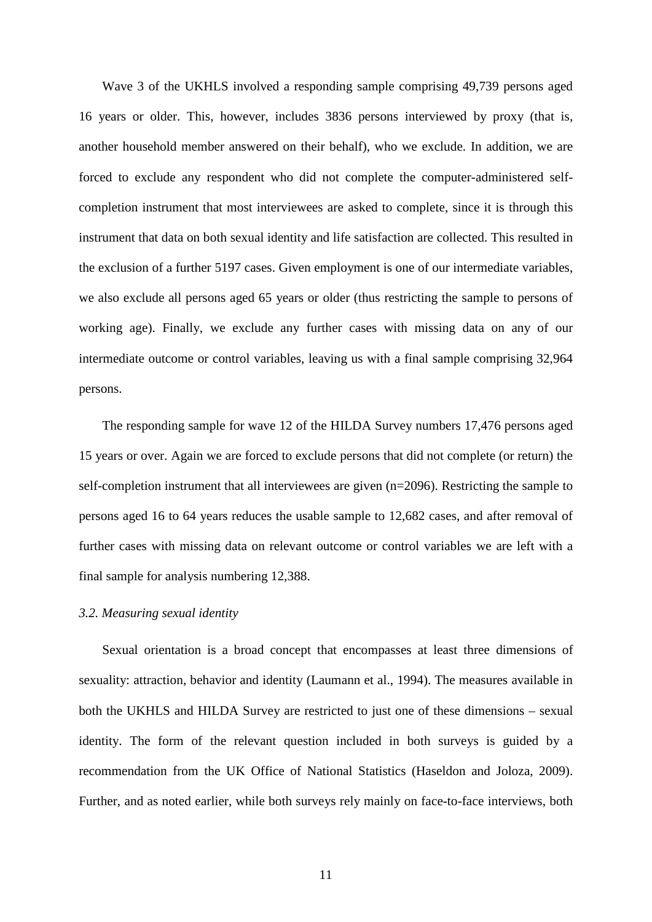Wave 3 of the UKHLS involved a responding sample comprising 49,739 persons aged 16 years or older. This, however, includes 3836 persons interviewed by proxy (that is, another household member answered on their behalf), who we exclude. In addition, we are forced to exclude any respondent who did not complete the computer-administered selfcompletion instrument that most interviewees are asked to complete, since it is through this instrument that data on both sexual identity and life satisfaction are collected. This resulted in the exclusion of a further 5197 cases. Given employment is one of our intermediate variables, we also exclude all persons aged 65 years or older (thus restricting the sample to persons of working age). Finally, we exclude any further cases with missing data on any of our intermediate outcome or control variables, leaving us with a final sample comprising 32,964 persons.

The responding sample for wave 12 of the HILDA Survey numbers 17,476 persons aged 15 years or over. Again we are forced to exclude persons that did not complete (or return) the self-completion instrument that all interviewees are given (n=2096). Restricting the sample to persons aged 16 to 64 years reduces the usable sample to 12,682 cases, and after removal of further cases with missing data on relevant outcome or control variables we are left with a final sample for analysis numbering 12,388.

#### *3.2. Measuring sexual identity*

Sexual orientation is a broad concept that encompasses at least three dimensions of sexuality: attraction, behavior and identity (Laumann et al., 1994). The measures available in both the UKHLS and HILDA Survey are restricted to just one of these dimensions – sexual identity. The form of the relevant question included in both surveys is guided by a recommendation from the UK Office of National Statistics (Haseldon and Joloza, 2009). Further, and as noted earlier, while both surveys rely mainly on face-to-face interviews, both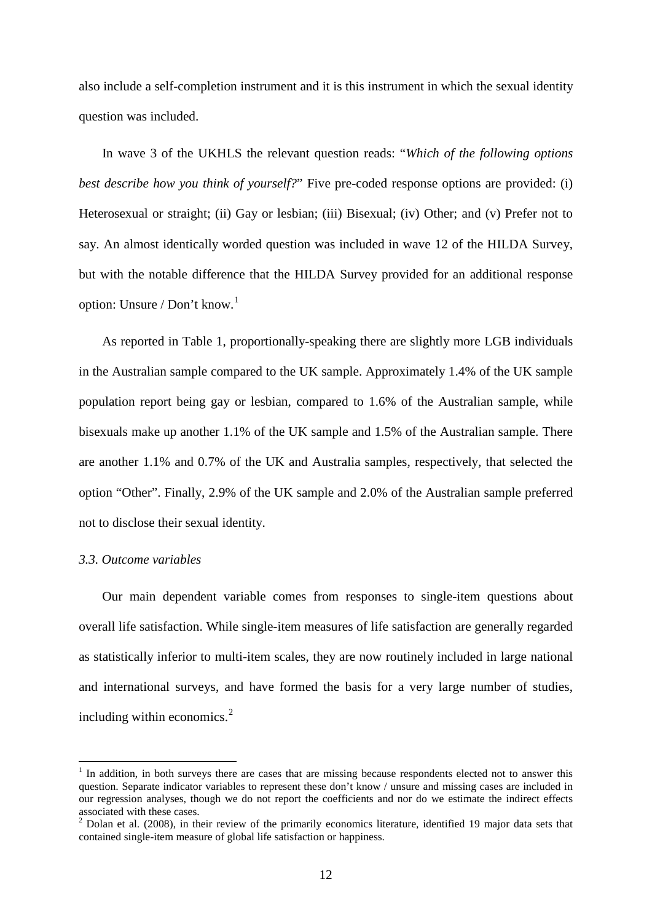also include a self-completion instrument and it is this instrument in which the sexual identity question was included.

In wave 3 of the UKHLS the relevant question reads: "*Which of the following options best describe how you think of yourself?*" Five pre-coded response options are provided: (i) Heterosexual or straight; (ii) Gay or lesbian; (iii) Bisexual; (iv) Other; and (v) Prefer not to say. An almost identically worded question was included in wave 12 of the HILDA Survey, but with the notable difference that the HILDA Survey provided for an additional response option: Unsure / Don't know. 1

As reported in Table 1, proportionally-speaking there are slightly more LGB individuals in the Australian sample compared to the UK sample. Approximately 1.4% of the UK sample population report being gay or lesbian, compared to 1.6% of the Australian sample, while bisexuals make up another 1.1% of the UK sample and 1.5% of the Australian sample. There are another 1.1% and 0.7% of the UK and Australia samples, respectively, that selected the option "Other". Finally, 2.9% of the UK sample and 2.0% of the Australian sample preferred not to disclose their sexual identity.

#### *3.3. Outcome variables*

Our main dependent variable comes from responses to single-item questions about overall life satisfaction. While single-item measures of life satisfaction are generally regarded as statistically inferior to multi-item scales, they are now routinely included in large national and international surveys, and have formed the basis for a very large number of studies, including within economics.[2](#page-14-0)

<sup>&</sup>lt;sup>1</sup> In addition, in both surveys there are cases that are missing because respondents elected not to answer this question. Separate indicator variables to represent these don't know / unsure and missing cases are included in our regression analyses, though we do not report the coefficients and nor do we estimate the indirect effects

<span id="page-14-1"></span><span id="page-14-0"></span>associated with these cases.<br><sup>2</sup> Dolan et al. (2008), in their review of the primarily economics literature, identified 19 major data sets that contained single-item measure of global life satisfaction or happiness.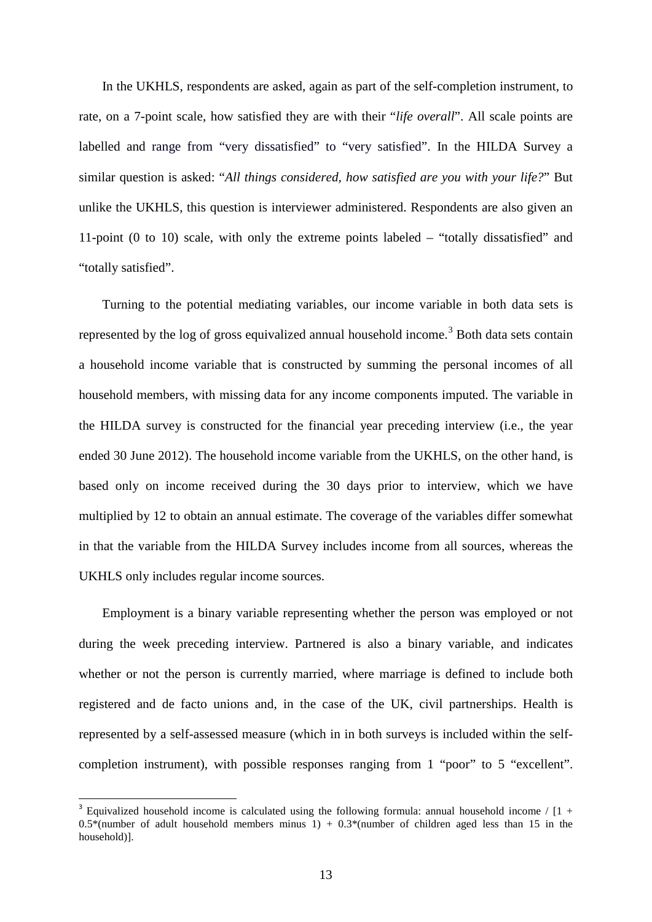In the UKHLS, respondents are asked, again as part of the self-completion instrument, to rate, on a 7-point scale, how satisfied they are with their "*life overall*". All scale points are labelled and range from "very dissatisfied" to "very satisfied". In the HILDA Survey a similar question is asked: "*All things considered, how satisfied are you with your life?*" But unlike the UKHLS, this question is interviewer administered. Respondents are also given an 11-point (0 to 10) scale, with only the extreme points labeled – "totally dissatisfied" and "totally satisfied".

Turning to the potential mediating variables, our income variable in both data sets is represented by the log of gross equivalized annual household income.<sup>[3](#page-14-1)</sup> Both data sets contain a household income variable that is constructed by summing the personal incomes of all household members, with missing data for any income components imputed. The variable in the HILDA survey is constructed for the financial year preceding interview (i.e., the year ended 30 June 2012). The household income variable from the UKHLS, on the other hand, is based only on income received during the 30 days prior to interview, which we have multiplied by 12 to obtain an annual estimate. The coverage of the variables differ somewhat in that the variable from the HILDA Survey includes income from all sources, whereas the UKHLS only includes regular income sources.

Employment is a binary variable representing whether the person was employed or not during the week preceding interview. Partnered is also a binary variable, and indicates whether or not the person is currently married, where marriage is defined to include both registered and de facto unions and, in the case of the UK, civil partnerships. Health is represented by a self-assessed measure (which in in both surveys is included within the selfcompletion instrument), with possible responses ranging from 1 "poor" to 5 "excellent".

<span id="page-15-0"></span>Equivalized household income is calculated using the following formula: annual household income /  $[1 +$  $0.5*$ (number of adult household members minus 1) +  $0.3*$ (number of children aged less than 15 in the household)].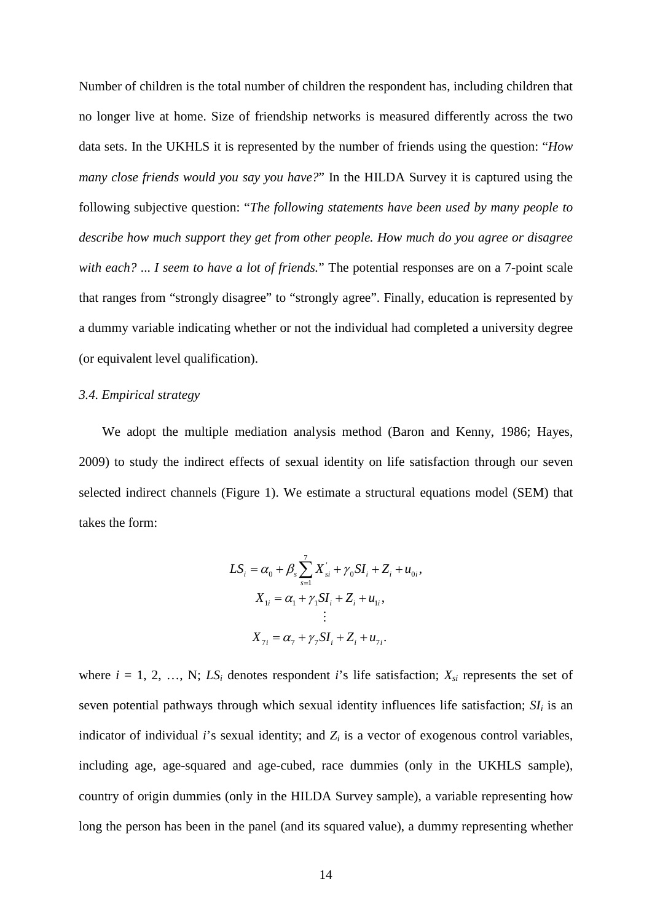Number of children is the total number of children the respondent has, including children that no longer live at home. Size of friendship networks is measured differently across the two data sets. In the UKHLS it is represented by the number of friends using the question: "*How many close friends would you say you have?*" In the HILDA Survey it is captured using the following subjective question: "*The following statements have been used by many people to describe how much support they get from other people. How much do you agree or disagree with each?* ... *I seem to have a lot of friends.*" The potential responses are on a 7-point scale that ranges from "strongly disagree" to "strongly agree". Finally, education is represented by a dummy variable indicating whether or not the individual had completed a university degree (or equivalent level qualification).

#### *3.4. Empirical strategy*

We adopt the multiple mediation analysis method (Baron and Kenny, 1986; Hayes, 2009) to study the indirect effects of sexual identity on life satisfaction through our seven selected indirect channels (Figure 1). We estimate a structural equations model (SEM) that takes the form:

$$
LS_{i} = \alpha_{0} + \beta_{s} \sum_{s=1}^{7} X_{si}^{+} + \gamma_{0} SI_{i} + Z_{i} + u_{0i}
$$

$$
X_{1i} = \alpha_{1} + \gamma_{1} SI_{i} + Z_{i} + u_{1i},
$$

$$
\vdots
$$

$$
X_{7i} = \alpha_{7} + \gamma_{7} SI_{i} + Z_{i} + u_{7i}.
$$

,

where  $i = 1, 2, ..., N$ ; *LS<sub>i</sub>* denotes respondent *i*'s life satisfaction;  $X_{si}$  represents the set of seven potential pathways through which sexual identity influences life satisfaction;  $SI<sub>i</sub>$  is an indicator of individual *i*'s sexual identity; and  $Z_i$  is a vector of exogenous control variables, including age, age-squared and age-cubed, race dummies (only in the UKHLS sample), country of origin dummies (only in the HILDA Survey sample), a variable representing how long the person has been in the panel (and its squared value), a dummy representing whether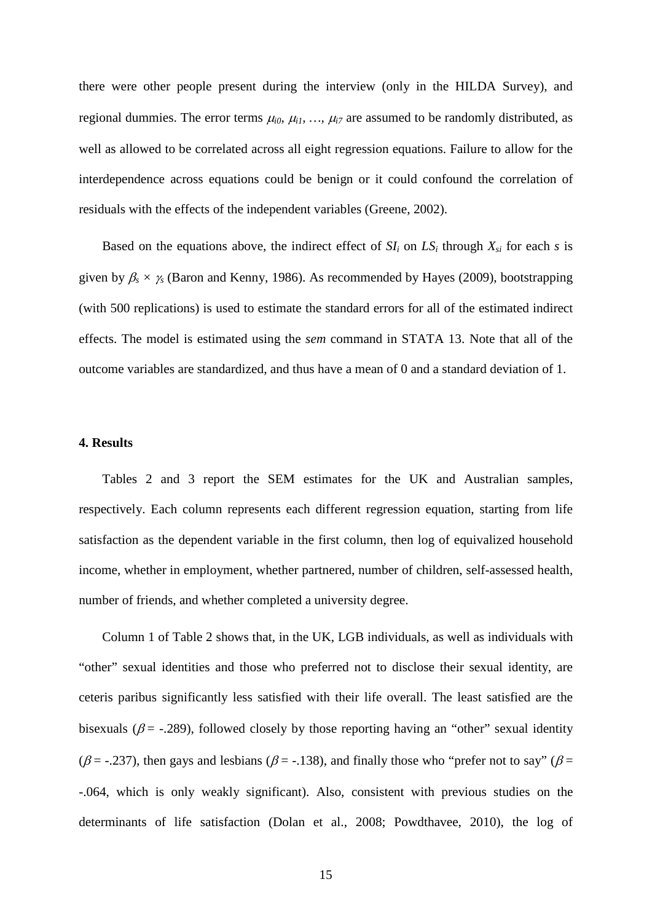there were other people present during the interview (only in the HILDA Survey), and regional dummies. The error terms  $\mu_{i0}$ ,  $\mu_{i1}$ , ...,  $\mu_{i7}$  are assumed to be randomly distributed, as well as allowed to be correlated across all eight regression equations. Failure to allow for the interdependence across equations could be benign or it could confound the correlation of residuals with the effects of the independent variables (Greene, 2002).

Based on the equations above, the indirect effect of  $SI_i$  on  $LS_i$  through  $X_{si}$  for each *s* is given by  $\beta_s \times \gamma_s$  (Baron and Kenny, 1986). As recommended by Hayes (2009), bootstrapping (with 500 replications) is used to estimate the standard errors for all of the estimated indirect effects. The model is estimated using the *sem* command in STATA 13. Note that all of the outcome variables are standardized, and thus have a mean of 0 and a standard deviation of 1.

#### **4. Results**

Tables 2 and 3 report the SEM estimates for the UK and Australian samples, respectively. Each column represents each different regression equation, starting from life satisfaction as the dependent variable in the first column, then log of equivalized household income, whether in employment, whether partnered, number of children, self-assessed health, number of friends, and whether completed a university degree.

Column 1 of Table 2 shows that, in the UK, LGB individuals, as well as individuals with "other" sexual identities and those who preferred not to disclose their sexual identity, are ceteris paribus significantly less satisfied with their life overall. The least satisfied are the bisexuals ( $\beta$  = -.289), followed closely by those reporting having an "other" sexual identity ( $\beta$  = -.237), then gays and lesbians ( $\beta$  = -.138), and finally those who "prefer not to say" ( $\beta$  = -.064, which is only weakly significant). Also, consistent with previous studies on the determinants of life satisfaction (Dolan et al., 2008; Powdthavee, 2010), the log of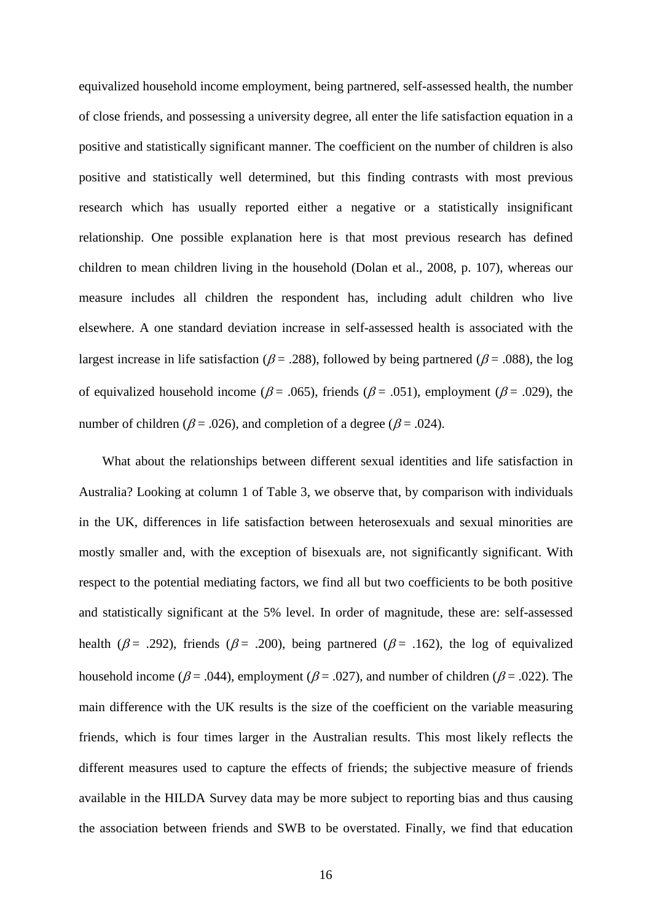equivalized household income employment, being partnered, self-assessed health, the number of close friends, and possessing a university degree, all enter the life satisfaction equation in a positive and statistically significant manner. The coefficient on the number of children is also positive and statistically well determined, but this finding contrasts with most previous research which has usually reported either a negative or a statistically insignificant relationship. One possible explanation here is that most previous research has defined children to mean children living in the household (Dolan et al., 2008, p. 107), whereas our measure includes all children the respondent has, including adult children who live elsewhere. A one standard deviation increase in self-assessed health is associated with the largest increase in life satisfaction ( $\beta$  = .288), followed by being partnered ( $\beta$  = .088), the log of equivalized household income ( $\beta$  = .065), friends ( $\beta$  = .051), employment ( $\beta$  = .029), the number of children ( $\beta$  = .026), and completion of a degree ( $\beta$  = .024).

What about the relationships between different sexual identities and life satisfaction in Australia? Looking at column 1 of Table 3, we observe that, by comparison with individuals in the UK, differences in life satisfaction between heterosexuals and sexual minorities are mostly smaller and, with the exception of bisexuals are, not significantly significant. With respect to the potential mediating factors, we find all but two coefficients to be both positive and statistically significant at the 5% level. In order of magnitude, these are: self-assessed health ( $\beta$  = .292), friends ( $\beta$  = .200), being partnered ( $\beta$  = .162), the log of equivalized household income ( $\beta$  = .044), employment ( $\beta$  = .027), and number of children ( $\beta$  = .022). The main difference with the UK results is the size of the coefficient on the variable measuring friends, which is four times larger in the Australian results. This most likely reflects the different measures used to capture the effects of friends; the subjective measure of friends available in the HILDA Survey data may be more subject to reporting bias and thus causing the association between friends and SWB to be overstated. Finally, we find that education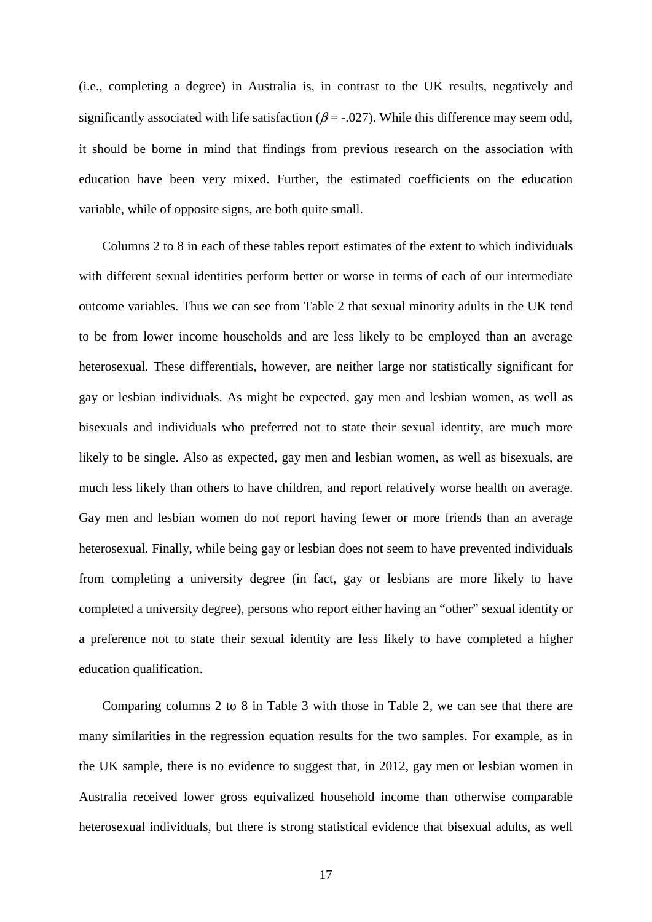(i.e., completing a degree) in Australia is, in contrast to the UK results, negatively and significantly associated with life satisfaction ( $\beta$  = -.027). While this difference may seem odd, it should be borne in mind that findings from previous research on the association with education have been very mixed. Further, the estimated coefficients on the education variable, while of opposite signs, are both quite small.

Columns 2 to 8 in each of these tables report estimates of the extent to which individuals with different sexual identities perform better or worse in terms of each of our intermediate outcome variables. Thus we can see from Table 2 that sexual minority adults in the UK tend to be from lower income households and are less likely to be employed than an average heterosexual. These differentials, however, are neither large nor statistically significant for gay or lesbian individuals. As might be expected, gay men and lesbian women, as well as bisexuals and individuals who preferred not to state their sexual identity, are much more likely to be single. Also as expected, gay men and lesbian women, as well as bisexuals, are much less likely than others to have children, and report relatively worse health on average. Gay men and lesbian women do not report having fewer or more friends than an average heterosexual. Finally, while being gay or lesbian does not seem to have prevented individuals from completing a university degree (in fact, gay or lesbians are more likely to have completed a university degree), persons who report either having an "other" sexual identity or a preference not to state their sexual identity are less likely to have completed a higher education qualification.

Comparing columns 2 to 8 in Table 3 with those in Table 2, we can see that there are many similarities in the regression equation results for the two samples. For example, as in the UK sample, there is no evidence to suggest that, in 2012, gay men or lesbian women in Australia received lower gross equivalized household income than otherwise comparable heterosexual individuals, but there is strong statistical evidence that bisexual adults, as well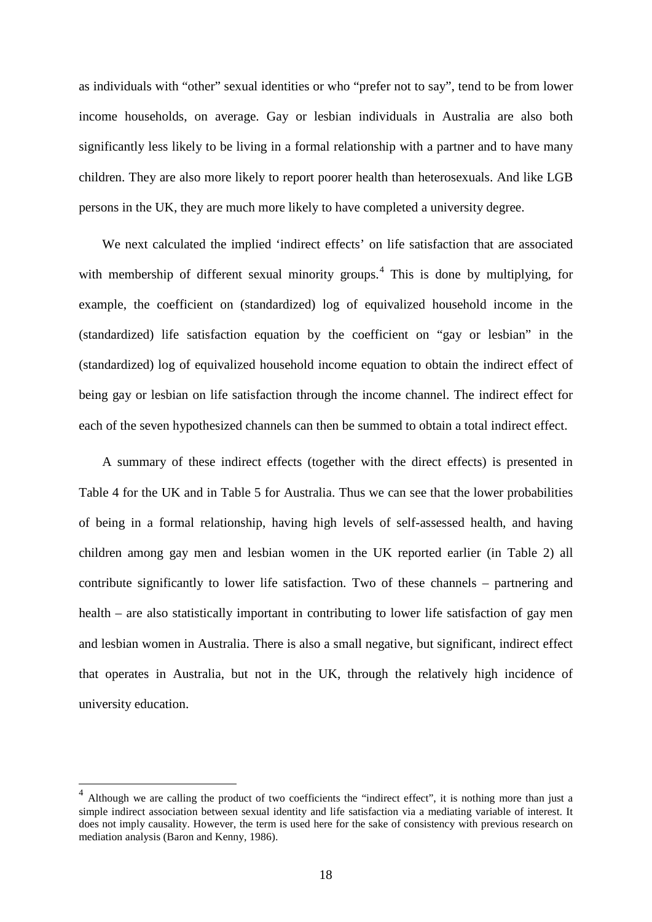as individuals with "other" sexual identities or who "prefer not to say", tend to be from lower income households, on average. Gay or lesbian individuals in Australia are also both significantly less likely to be living in a formal relationship with a partner and to have many children. They are also more likely to report poorer health than heterosexuals. And like LGB persons in the UK, they are much more likely to have completed a university degree.

We next calculated the implied 'indirect effects' on life satisfaction that are associated with membership of different sexual minority groups.<sup>[4](#page-15-0)</sup> This is done by multiplying, for example, the coefficient on (standardized) log of equivalized household income in the (standardized) life satisfaction equation by the coefficient on "gay or lesbian" in the (standardized) log of equivalized household income equation to obtain the indirect effect of being gay or lesbian on life satisfaction through the income channel. The indirect effect for each of the seven hypothesized channels can then be summed to obtain a total indirect effect.

A summary of these indirect effects (together with the direct effects) is presented in Table 4 for the UK and in Table 5 for Australia. Thus we can see that the lower probabilities of being in a formal relationship, having high levels of self-assessed health, and having children among gay men and lesbian women in the UK reported earlier (in Table 2) all contribute significantly to lower life satisfaction. Two of these channels – partnering and health – are also statistically important in contributing to lower life satisfaction of gay men and lesbian women in Australia. There is also a small negative, but significant, indirect effect that operates in Australia, but not in the UK, through the relatively high incidence of university education.

<sup>4</sup> Although we are calling the product of two coefficients the "indirect effect", it is nothing more than just a simple indirect association between sexual identity and life satisfaction via a mediating variable of interest. It does not imply causality. However, the term is used here for the sake of consistency with previous research on mediation analysis (Baron and Kenny, 1986).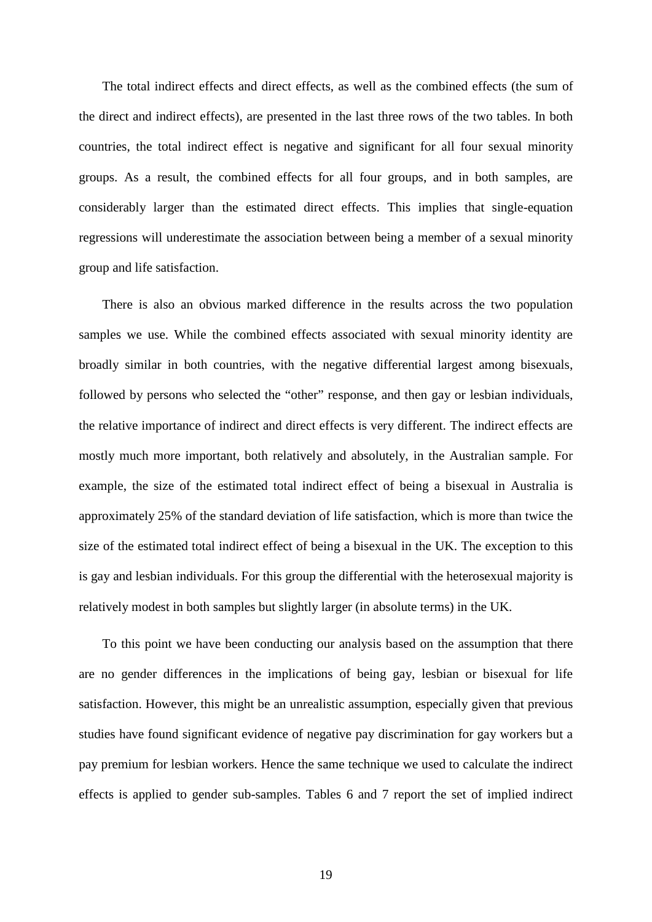The total indirect effects and direct effects, as well as the combined effects (the sum of the direct and indirect effects), are presented in the last three rows of the two tables. In both countries, the total indirect effect is negative and significant for all four sexual minority groups. As a result, the combined effects for all four groups, and in both samples, are considerably larger than the estimated direct effects. This implies that single-equation regressions will underestimate the association between being a member of a sexual minority group and life satisfaction.

There is also an obvious marked difference in the results across the two population samples we use. While the combined effects associated with sexual minority identity are broadly similar in both countries, with the negative differential largest among bisexuals, followed by persons who selected the "other" response, and then gay or lesbian individuals, the relative importance of indirect and direct effects is very different. The indirect effects are mostly much more important, both relatively and absolutely, in the Australian sample. For example, the size of the estimated total indirect effect of being a bisexual in Australia is approximately 25% of the standard deviation of life satisfaction, which is more than twice the size of the estimated total indirect effect of being a bisexual in the UK. The exception to this is gay and lesbian individuals. For this group the differential with the heterosexual majority is relatively modest in both samples but slightly larger (in absolute terms) in the UK.

To this point we have been conducting our analysis based on the assumption that there are no gender differences in the implications of being gay, lesbian or bisexual for life satisfaction. However, this might be an unrealistic assumption, especially given that previous studies have found significant evidence of negative pay discrimination for gay workers but a pay premium for lesbian workers. Hence the same technique we used to calculate the indirect effects is applied to gender sub-samples. Tables 6 and 7 report the set of implied indirect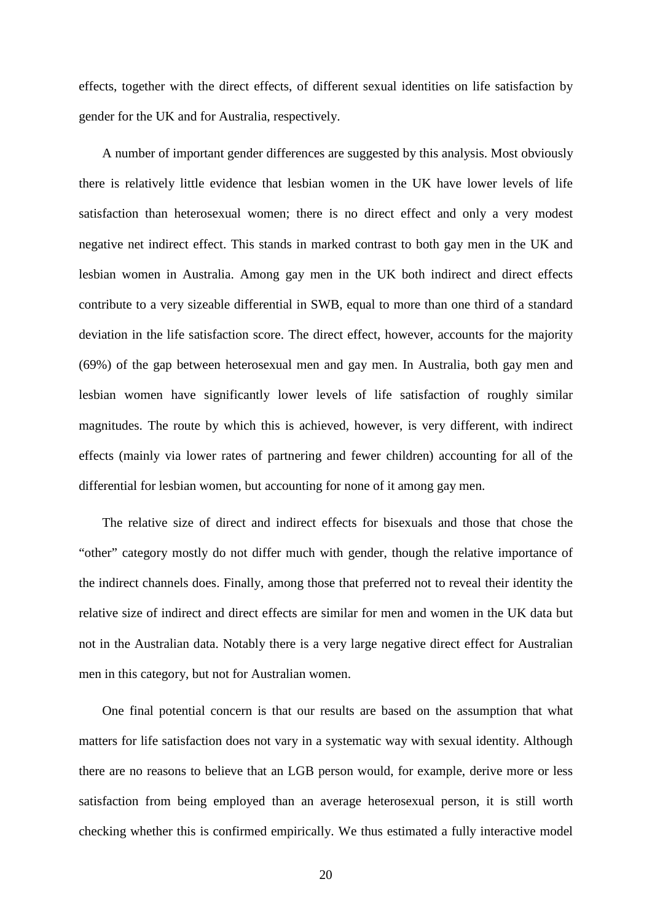effects, together with the direct effects, of different sexual identities on life satisfaction by gender for the UK and for Australia, respectively.

A number of important gender differences are suggested by this analysis. Most obviously there is relatively little evidence that lesbian women in the UK have lower levels of life satisfaction than heterosexual women; there is no direct effect and only a very modest negative net indirect effect. This stands in marked contrast to both gay men in the UK and lesbian women in Australia. Among gay men in the UK both indirect and direct effects contribute to a very sizeable differential in SWB, equal to more than one third of a standard deviation in the life satisfaction score. The direct effect, however, accounts for the majority (69%) of the gap between heterosexual men and gay men. In Australia, both gay men and lesbian women have significantly lower levels of life satisfaction of roughly similar magnitudes. The route by which this is achieved, however, is very different, with indirect effects (mainly via lower rates of partnering and fewer children) accounting for all of the differential for lesbian women, but accounting for none of it among gay men.

The relative size of direct and indirect effects for bisexuals and those that chose the "other" category mostly do not differ much with gender, though the relative importance of the indirect channels does. Finally, among those that preferred not to reveal their identity the relative size of indirect and direct effects are similar for men and women in the UK data but not in the Australian data. Notably there is a very large negative direct effect for Australian men in this category, but not for Australian women.

One final potential concern is that our results are based on the assumption that what matters for life satisfaction does not vary in a systematic way with sexual identity. Although there are no reasons to believe that an LGB person would, for example, derive more or less satisfaction from being employed than an average heterosexual person, it is still worth checking whether this is confirmed empirically. We thus estimated a fully interactive model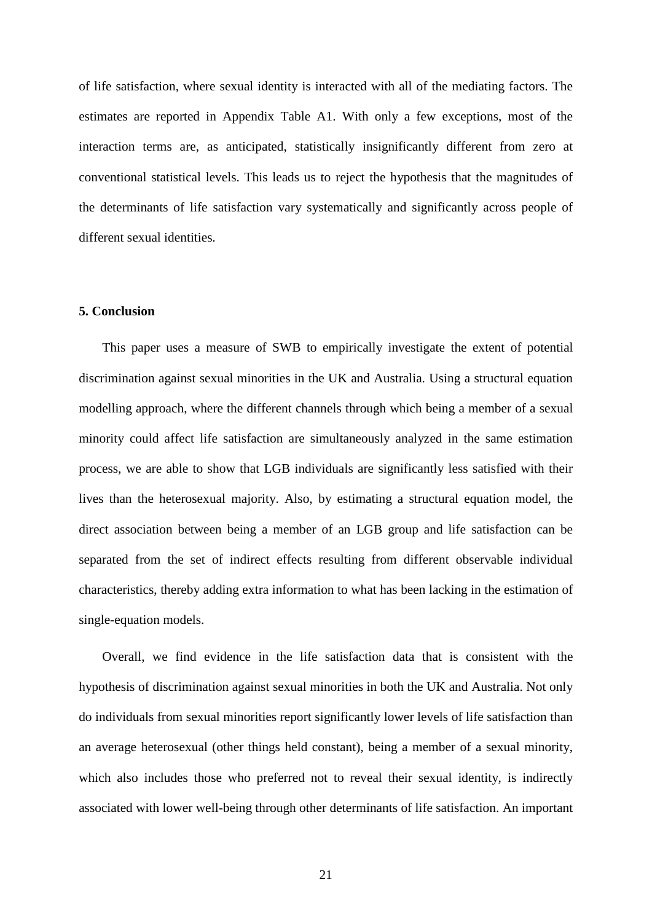of life satisfaction, where sexual identity is interacted with all of the mediating factors. The estimates are reported in Appendix Table A1. With only a few exceptions, most of the interaction terms are, as anticipated, statistically insignificantly different from zero at conventional statistical levels. This leads us to reject the hypothesis that the magnitudes of the determinants of life satisfaction vary systematically and significantly across people of different sexual identities.

#### **5. Conclusion**

This paper uses a measure of SWB to empirically investigate the extent of potential discrimination against sexual minorities in the UK and Australia. Using a structural equation modelling approach, where the different channels through which being a member of a sexual minority could affect life satisfaction are simultaneously analyzed in the same estimation process, we are able to show that LGB individuals are significantly less satisfied with their lives than the heterosexual majority. Also, by estimating a structural equation model, the direct association between being a member of an LGB group and life satisfaction can be separated from the set of indirect effects resulting from different observable individual characteristics, thereby adding extra information to what has been lacking in the estimation of single-equation models.

Overall, we find evidence in the life satisfaction data that is consistent with the hypothesis of discrimination against sexual minorities in both the UK and Australia. Not only do individuals from sexual minorities report significantly lower levels of life satisfaction than an average heterosexual (other things held constant), being a member of a sexual minority, which also includes those who preferred not to reveal their sexual identity, is indirectly associated with lower well-being through other determinants of life satisfaction. An important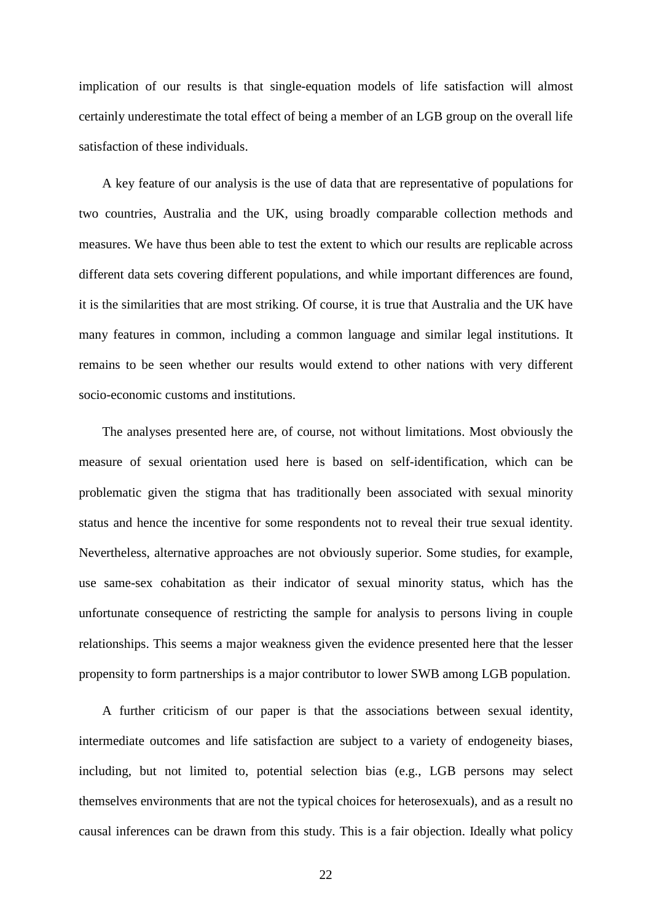implication of our results is that single-equation models of life satisfaction will almost certainly underestimate the total effect of being a member of an LGB group on the overall life satisfaction of these individuals.

A key feature of our analysis is the use of data that are representative of populations for two countries, Australia and the UK, using broadly comparable collection methods and measures. We have thus been able to test the extent to which our results are replicable across different data sets covering different populations, and while important differences are found, it is the similarities that are most striking. Of course, it is true that Australia and the UK have many features in common, including a common language and similar legal institutions. It remains to be seen whether our results would extend to other nations with very different socio-economic customs and institutions.

The analyses presented here are, of course, not without limitations. Most obviously the measure of sexual orientation used here is based on self-identification, which can be problematic given the stigma that has traditionally been associated with sexual minority status and hence the incentive for some respondents not to reveal their true sexual identity. Nevertheless, alternative approaches are not obviously superior. Some studies, for example, use same-sex cohabitation as their indicator of sexual minority status, which has the unfortunate consequence of restricting the sample for analysis to persons living in couple relationships. This seems a major weakness given the evidence presented here that the lesser propensity to form partnerships is a major contributor to lower SWB among LGB population.

A further criticism of our paper is that the associations between sexual identity, intermediate outcomes and life satisfaction are subject to a variety of endogeneity biases, including, but not limited to, potential selection bias (e.g., LGB persons may select themselves environments that are not the typical choices for heterosexuals), and as a result no causal inferences can be drawn from this study. This is a fair objection. Ideally what policy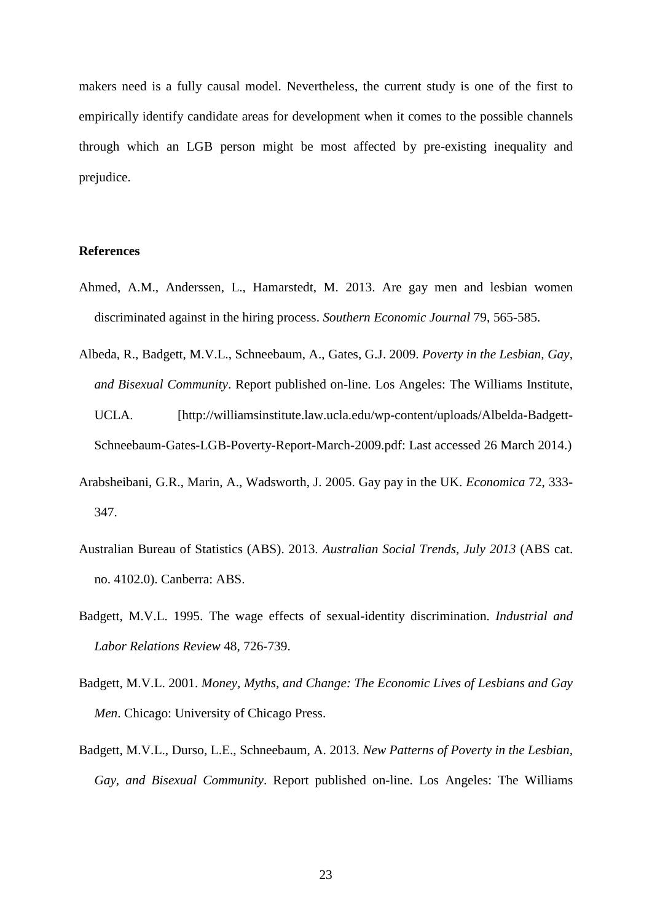makers need is a fully causal model. Nevertheless, the current study is one of the first to empirically identify candidate areas for development when it comes to the possible channels through which an LGB person might be most affected by pre-existing inequality and prejudice.

#### **References**

- Ahmed, A.M., Anderssen, L., Hamarstedt, M. 2013. Are gay men and lesbian women discriminated against in the hiring process. *Southern Economic Journal* 79, 565-585.
- Albeda, R., Badgett, M.V.L., Schneebaum, A., Gates, G.J. 2009. *Poverty in the Lesbian, Gay, and Bisexual Community*. Report published on-line. Los Angeles: The Williams Institute, UCLA. [http://williamsinstitute.law.ucla.edu/wp-content/uploads/Albelda-Badgett-Schneebaum-Gates-LGB-Poverty-Report-March-2009.pdf: Last accessed 26 March 2014.)
- Arabsheibani, G.R., Marin, A., Wadsworth, J. 2005. Gay pay in the UK. *Economica* 72, 333- 347.
- Australian Bureau of Statistics (ABS). 2013. *Australian Social Trends, July 2013* (ABS cat. no. 4102.0). Canberra: ABS.
- Badgett, M.V.L. 1995. The wage effects of sexual-identity discrimination. *Industrial and Labor Relations Review* 48, 726-739.
- Badgett, M.V.L. 2001. *Money, Myths, and Change: The Economic Lives of Lesbians and Gay Men*. Chicago: University of Chicago Press.
- Badgett, M.V.L., Durso, L.E., Schneebaum, A. 2013. *New Patterns of Poverty in the Lesbian, Gay, and Bisexual Community*. Report published on-line. Los Angeles: The Williams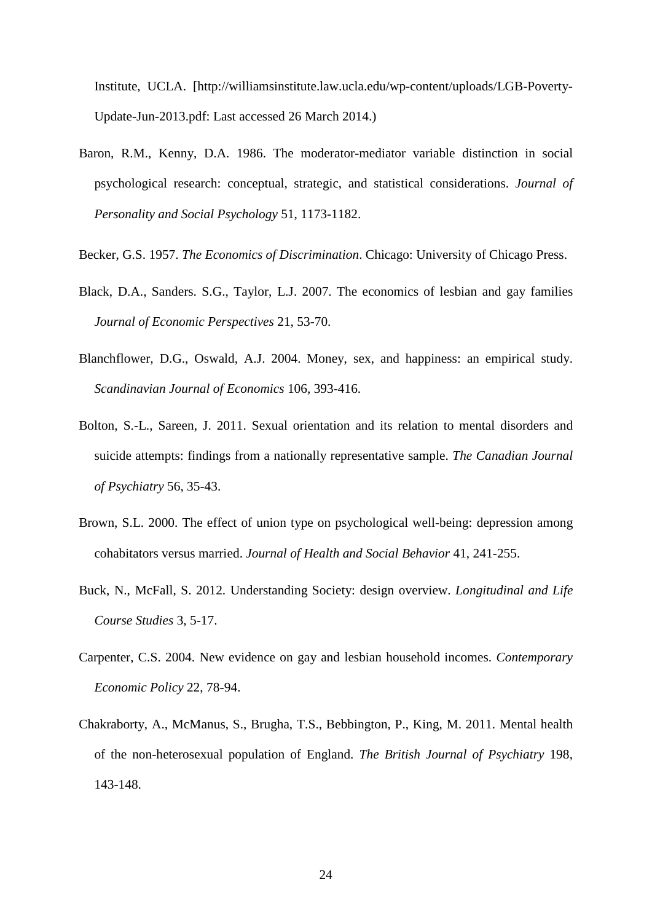Institute, UCLA. [http://williamsinstitute.law.ucla.edu/wp-content/uploads/LGB-Poverty-Update-Jun-2013.pdf: Last accessed 26 March 2014.)

- Baron, R.M., Kenny, D.A. 1986. The moderator-mediator variable distinction in social psychological research: conceptual, strategic, and statistical considerations. *Journal of Personality and Social Psychology* 51, 1173-1182.
- Becker, G.S. 1957. *The Economics of Discrimination*. Chicago: University of Chicago Press.
- Black, D.A., Sanders. S.G., Taylor, L.J. 2007. The economics of lesbian and gay families *Journal of Economic Perspectives* 21, 53-70.
- Blanchflower, D.G., Oswald, A.J. 2004. Money, sex, and happiness: an empirical study. *Scandinavian Journal of Economics* 106, 393-416.
- Bolton, S.-L., Sareen, J. 2011. Sexual orientation and its relation to mental disorders and suicide attempts: findings from a nationally representative sample. *The Canadian Journal of Psychiatry* 56, 35-43.
- Brown, S.L. 2000. The effect of union type on psychological well-being: depression among cohabitators versus married. *Journal of Health and Social Behavior* 41, 241-255.
- Buck, N., McFall, S. 2012. Understanding Society: design overview. *Longitudinal and Life Course Studies* 3, 5-17.
- Carpenter, C.S. 2004. New evidence on gay and lesbian household incomes. *Contemporary Economic Policy* 22, 78-94.
- Chakraborty, A., McManus, S., Brugha, T.S., Bebbington, P., King, M. 2011. Mental health of the non-heterosexual population of England. *The British Journal of Psychiatry* 198, 143-148.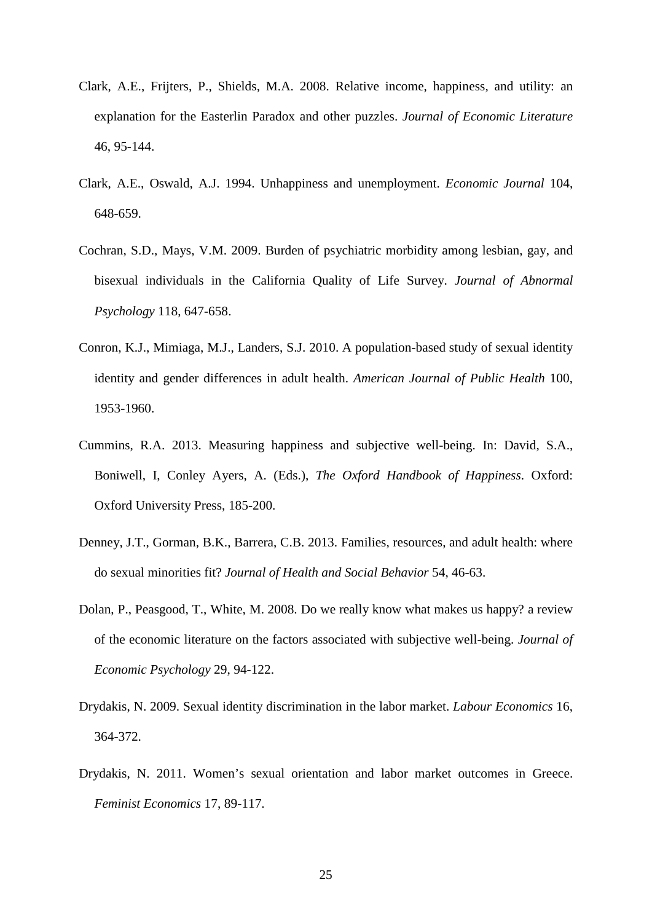- Clark, A.E., Frijters, P., Shields, M.A. 2008. Relative income, happiness, and utility: an explanation for the Easterlin Paradox and other puzzles. *Journal of Economic Literature* 46, 95-144.
- Clark, A.E., Oswald, A.J. 1994. Unhappiness and unemployment. *Economic Journal* 104, 648-659.
- Cochran, S.D., Mays, V.M. 2009. Burden of psychiatric morbidity among lesbian, gay, and bisexual individuals in the California Quality of Life Survey. *Journal of Abnormal Psychology* 118, 647-658.
- Conron, K.J., Mimiaga, M.J., Landers, S.J. 2010. A population-based study of sexual identity identity and gender differences in adult health. *American Journal of Public Health* 100, 1953-1960.
- Cummins, R.A. 2013. Measuring happiness and subjective well-being. In: David, S.A., Boniwell, I, Conley Ayers, A. (Eds.), *The Oxford Handbook of Happiness*. Oxford: Oxford University Press, 185-200.
- Denney, J.T., Gorman, B.K., Barrera, C.B. 2013. Families, resources, and adult health: where do sexual minorities fit? *Journal of Health and Social Behavior* 54, 46-63.
- Dolan, P., Peasgood, T., White, M. 2008. Do we really know what makes us happy? a review of the economic literature on the factors associated with subjective well-being. *Journal of Economic Psychology* 29, 94-122.
- Drydakis, N. 2009. Sexual identity discrimination in the labor market. *Labour Economics* 16, 364-372.
- Drydakis, N. 2011. Women's sexual orientation and labor market outcomes in Greece. *Feminist Economics* 17, 89-117.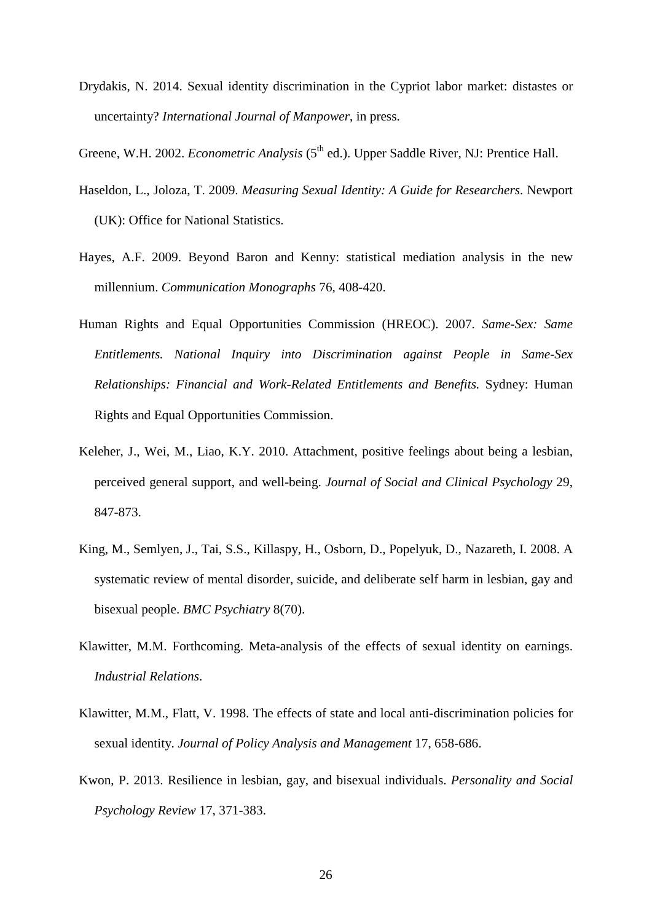Drydakis, N. 2014. Sexual identity discrimination in the Cypriot labor market: distastes or uncertainty? *International Journal of Manpower*, in press.

Greene, W.H. 2002. *Econometric Analysis* (5<sup>th</sup> ed.). Upper Saddle River, NJ: Prentice Hall.

- Haseldon, L., Joloza, T. 2009. *Measuring Sexual Identity: A Guide for Researchers*. Newport (UK): Office for National Statistics.
- Hayes, A.F. 2009. Beyond Baron and Kenny: statistical mediation analysis in the new millennium. *Communication Monographs* 76, 408-420.
- Human Rights and Equal Opportunities Commission (HREOC). 2007. *Same-Sex: Same Entitlements. National Inquiry into Discrimination against People in Same-Sex Relationships: Financial and Work-Related Entitlements and Benefits.* Sydney: Human Rights and Equal Opportunities Commission.
- Keleher, J., Wei, M., Liao, K.Y. 2010. Attachment, positive feelings about being a lesbian, perceived general support, and well-being. *Journal of Social and Clinical Psychology* 29, 847-873.
- King, M., Semlyen, J., Tai, S.S., Killaspy, H., Osborn, D., Popelyuk, D., Nazareth, I. 2008. A systematic review of mental disorder, suicide, and deliberate self harm in lesbian, gay and bisexual people. *BMC Psychiatry* 8(70).
- Klawitter, M.M. Forthcoming. Meta-analysis of the effects of sexual identity on earnings. *Industrial Relations*.
- Klawitter, M.M., Flatt, V. 1998. The effects of state and local anti-discrimination policies for sexual identity. *Journal of Policy Analysis and Management* 17, 658-686.
- Kwon, P. 2013. Resilience in lesbian, gay, and bisexual individuals. *Personality and Social Psychology Review* 17, 371-383.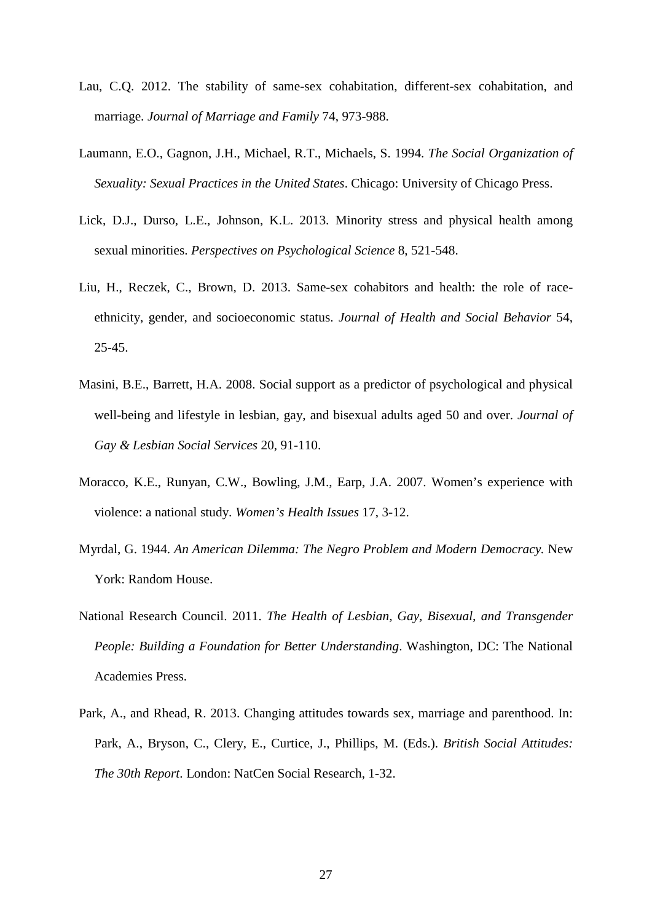- Lau, C.Q. 2012. The stability of same-sex cohabitation, different-sex cohabitation, and marriage. *Journal of Marriage and Family* 74, 973-988.
- Laumann, E.O., Gagnon, J.H., Michael, R.T., Michaels, S. 1994. *The Social Organization of Sexuality: Sexual Practices in the United States*. Chicago: University of Chicago Press.
- Lick, D.J., Durso, L.E., Johnson, K.L. 2013. Minority stress and physical health among sexual minorities. *Perspectives on Psychological Science* 8, 521-548.
- Liu, H., Reczek, C., Brown, D. 2013. Same-sex cohabitors and health: the role of raceethnicity, gender, and socioeconomic status. *Journal of Health and Social Behavior* 54, 25-45.
- Masini, B.E., Barrett, H.A. 2008. Social support as a predictor of psychological and physical well-being and lifestyle in lesbian, gay, and bisexual adults aged 50 and over. *Journal of Gay & Lesbian Social Services* 20, 91-110.
- Moracco, K.E., Runyan, C.W., Bowling, J.M., Earp, J.A. 2007. Women's experience with violence: a national study. *Women's Health Issues* 17, 3-12.
- Myrdal, G. 1944. *An American Dilemma: The Negro Problem and Modern Democracy.* New York: Random House.
- National Research Council. 2011. *The Health of Lesbian, Gay, Bisexual, and Transgender People: Building a Foundation for Better Understanding*. Washington, DC: The National Academies Press.
- Park, A., and Rhead, R. 2013. Changing attitudes towards sex, marriage and parenthood. In: Park, A., Bryson, C., Clery, E., Curtice, J., Phillips, M. (Eds.). *British Social Attitudes: The 30th Report*. London: NatCen Social Research, 1-32.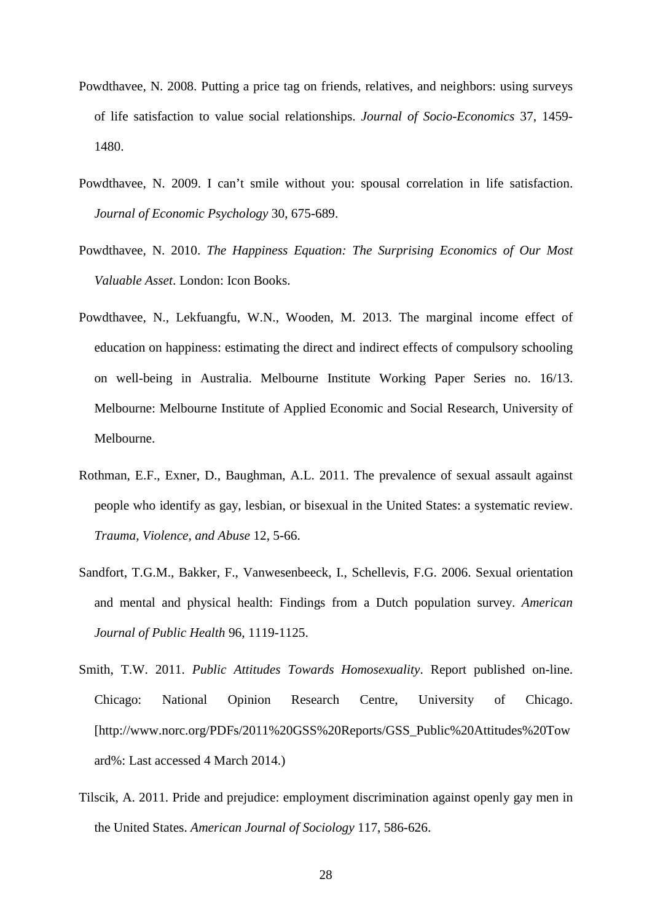- Powdthavee, N. 2008. Putting a price tag on friends, relatives, and neighbors: using surveys of life satisfaction to value social relationships. *Journal of Socio-Economics* 37, 1459- 1480.
- Powdthavee, N. 2009. I can't smile without you: spousal correlation in life satisfaction. *Journal of Economic Psychology* 30, 675-689.
- Powdthavee, N. 2010. *The Happiness Equation: The Surprising Economics of Our Most Valuable Asset*. London: Icon Books.
- Powdthavee, N., Lekfuangfu, W.N., Wooden, M. 2013. The marginal income effect of education on happiness: estimating the direct and indirect effects of compulsory schooling on well-being in Australia. Melbourne Institute Working Paper Series no. 16/13. Melbourne: Melbourne Institute of Applied Economic and Social Research, University of Melbourne.
- Rothman, E.F., Exner, D., Baughman, A.L. 2011. The prevalence of sexual assault against people who identify as gay, lesbian, or bisexual in the United States: a systematic review. *Trauma, Violence, and Abuse* 12, 5-66.
- Sandfort, T.G.M., Bakker, F., Vanwesenbeeck, I., Schellevis, F.G. 2006. Sexual orientation and mental and physical health: Findings from a Dutch population survey. *American Journal of Public Health* 96, 1119-1125.
- Smith, T.W. 2011. *Public Attitudes Towards Homosexuality*. Report published on-line. Chicago: National Opinion Research Centre, University of Chicago. [http://www.norc.org/PDFs/2011%20GSS%20Reports/GSS\_Public%20Attitudes%20Tow ard%: Last accessed 4 March 2014.)
- Tilscik, A. 2011. Pride and prejudice: employment discrimination against openly gay men in the United States. *American Journal of Sociology* 117, 586-626.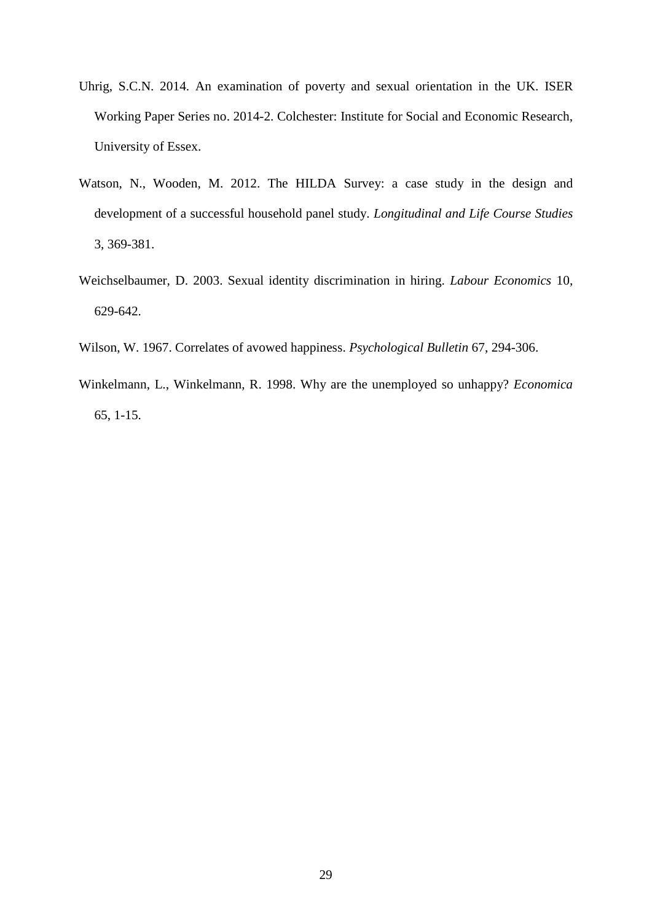- Uhrig, S.C.N. 2014. An examination of poverty and sexual orientation in the UK. ISER Working Paper Series no. 2014-2. Colchester: Institute for Social and Economic Research, University of Essex.
- Watson, N., Wooden, M. 2012. The HILDA Survey: a case study in the design and development of a successful household panel study. *Longitudinal and Life Course Studies* 3, 369-381.
- Weichselbaumer, D. 2003. Sexual identity discrimination in hiring. *Labour Economics* 10, 629-642.
- Wilson, W. 1967. Correlates of avowed happiness. *Psychological Bulletin* 67, 294-306.
- Winkelmann, L., Winkelmann, R. 1998. Why are the unemployed so unhappy? *Economica* 65, 1-15.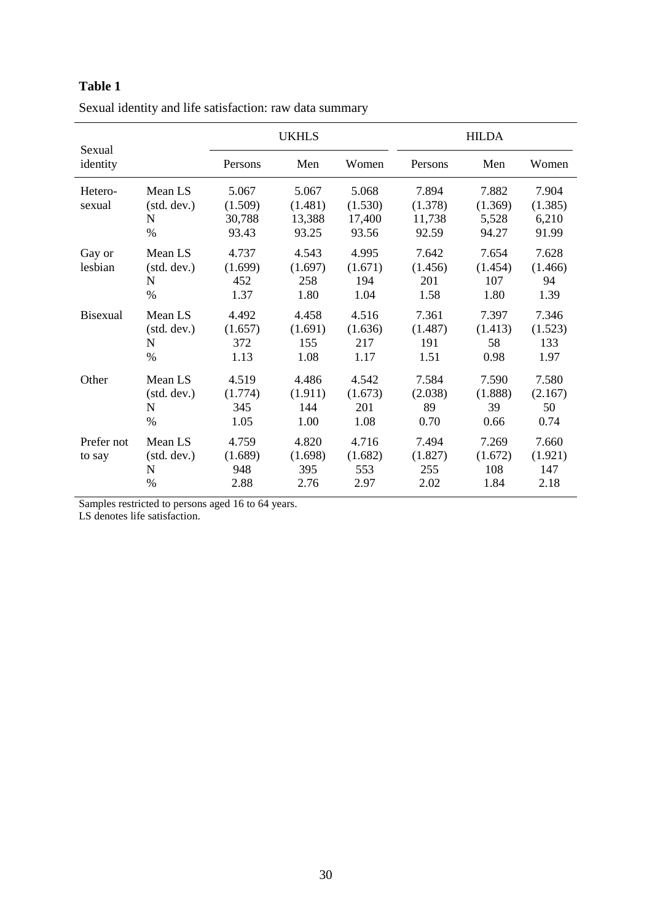| Sexual               |                                               |                                     | <b>UKHLS</b>                        |                                     | <b>HILDA</b>                        |                                    |                                    |  |  |
|----------------------|-----------------------------------------------|-------------------------------------|-------------------------------------|-------------------------------------|-------------------------------------|------------------------------------|------------------------------------|--|--|
| identity             |                                               | Persons                             | Men                                 | Women                               | Persons                             | Men                                | Women                              |  |  |
| Hetero-<br>sexual    | Mean LS<br>(stat. dev.)<br>N<br>$\frac{0}{0}$ | 5.067<br>(1.509)<br>30,788<br>93.43 | 5.067<br>(1.481)<br>13,388<br>93.25 | 5.068<br>(1.530)<br>17,400<br>93.56 | 7.894<br>(1.378)<br>11,738<br>92.59 | 7.882<br>(1.369)<br>5,528<br>94.27 | 7.904<br>(1.385)<br>6,210<br>91.99 |  |  |
| Gay or<br>lesbian    | Mean LS<br>(stat. dev.)<br>N<br>$\%$          | 4.737<br>(1.699)<br>452<br>1.37     | 4.543<br>(1.697)<br>258<br>1.80     | 4.995<br>(1.671)<br>194<br>1.04     | 7.642<br>(1.456)<br>201<br>1.58     | 7.654<br>(1.454)<br>107<br>1.80    | 7.628<br>(1.466)<br>94<br>1.39     |  |  |
| <b>Bisexual</b>      | Mean LS<br>(stat. dev.)<br>N<br>$\%$          | 4.492<br>(1.657)<br>372<br>1.13     | 4.458<br>(1.691)<br>155<br>1.08     | 4.516<br>(1.636)<br>217<br>1.17     | 7.361<br>(1.487)<br>191<br>1.51     | 7.397<br>(1.413)<br>58<br>0.98     | 7.346<br>(1.523)<br>133<br>1.97    |  |  |
| Other                | Mean LS<br>(stat. dev.)<br>N<br>$\%$          | 4.519<br>(1.774)<br>345<br>1.05     | 4.486<br>(1.911)<br>144<br>1.00     | 4.542<br>(1.673)<br>201<br>1.08     | 7.584<br>(2.038)<br>89<br>0.70      | 7.590<br>(1.888)<br>39<br>0.66     | 7.580<br>(2.167)<br>50<br>0.74     |  |  |
| Prefer not<br>to say | Mean LS<br>(stat. dev.)<br>N<br>$\%$          | 4.759<br>(1.689)<br>948<br>2.88     | 4.820<br>(1.698)<br>395<br>2.76     | 4.716<br>(1.682)<br>553<br>2.97     | 7.494<br>(1.827)<br>255<br>2.02     | 7.269<br>(1.672)<br>108<br>1.84    | 7.660<br>(1.921)<br>147<br>2.18    |  |  |

| Sexual identity and life satisfaction: raw data summary |
|---------------------------------------------------------|
|                                                         |

Samples restricted to persons aged 16 to 64 years.

LS denotes life satisfaction.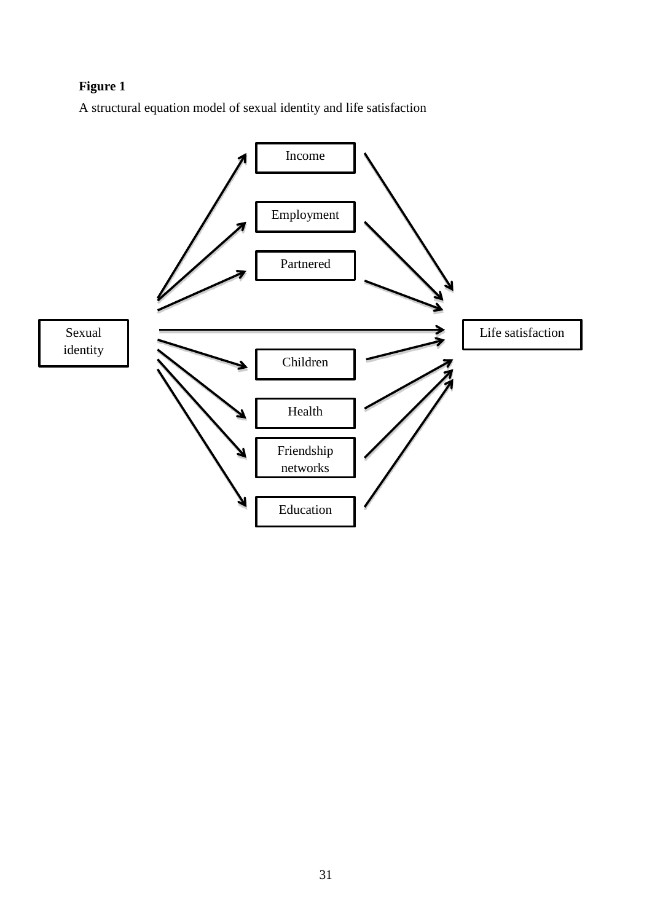# **Figure 1**

A structural equation model of sexual identity and life satisfaction

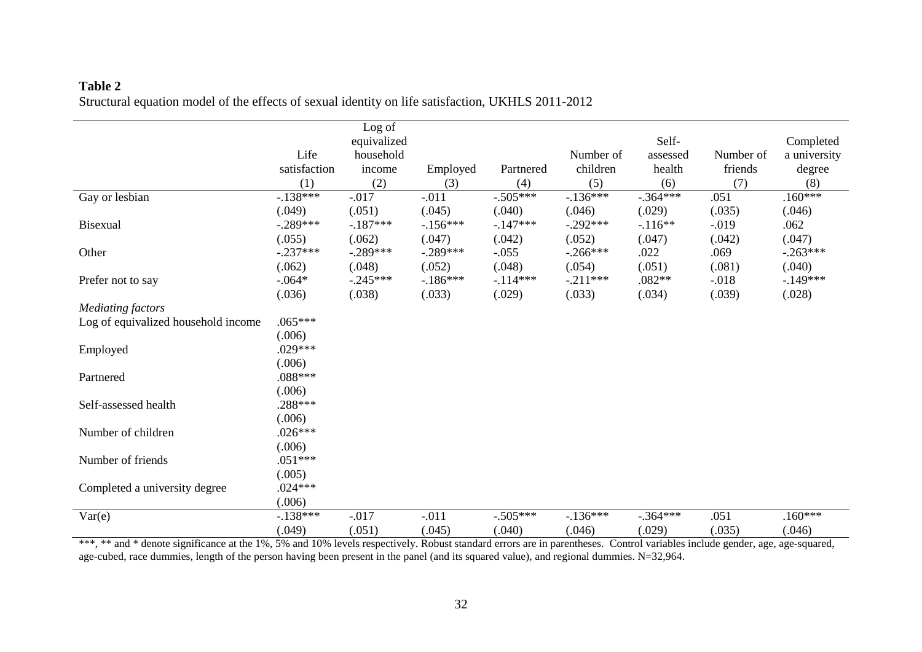### **Table 2** Structural equation model of the effects of sexual identity on life satisfaction, UKHLS 2011-2012

|                                     |              | Log of      |           |            |             |            |           |              |
|-------------------------------------|--------------|-------------|-----------|------------|-------------|------------|-----------|--------------|
|                                     |              | equivalized |           |            |             | Self-      |           | Completed    |
|                                     | Life         | household   |           |            | Number of   | assessed   | Number of | a university |
|                                     | satisfaction | income      | Employed  | Partnered  | children    | health     | friends   | degree       |
|                                     | (1)          | (2)         | (3)       | (4)        | (5)         | (6)        | (7)       | (8)          |
| Gay or lesbian                      | $-.138***$   | $-0.017$    | $-.011$   | $-.505***$ | $-136***$   | $-.364***$ | .051      | $.160***$    |
|                                     | (.049)       | (.051)      | (.045)    | (.040)     | (.046)      | (.029)     | (.035)    | (.046)       |
| <b>Bisexual</b>                     | $-.289***$   | $-187***$   | $-156***$ | $-147***$  | $-.292***$  | $-116**$   | $-0.019$  | .062         |
|                                     | (.055)       | (.062)      | (.047)    | (.042)     | (.052)      | (.047)     | (.042)    | (.047)       |
| Other                               | $-.237***$   | $-.289***$  | $-289***$ | $-.055$    | $-0.266***$ | .022       | .069      | $-.263***$   |
|                                     | (.062)       | (.048)      | (.052)    | (.048)     | (.054)      | (.051)     | (.081)    | (.040)       |
| Prefer not to say                   | $-.064*$     | $-.245***$  | $-186***$ | $-.114***$ | $-.211***$  | $.082**$   | $-0.018$  | $-149***$    |
|                                     | (.036)       | (.038)      | (.033)    | (.029)     | (.033)      | (.034)     | (.039)    | (.028)       |
| <b>Mediating factors</b>            |              |             |           |            |             |            |           |              |
| Log of equivalized household income | $.065***$    |             |           |            |             |            |           |              |
|                                     | (.006)       |             |           |            |             |            |           |              |
| Employed                            | $.029***$    |             |           |            |             |            |           |              |
|                                     | (.006)       |             |           |            |             |            |           |              |
| Partnered                           | .088***      |             |           |            |             |            |           |              |
|                                     | (.006)       |             |           |            |             |            |           |              |
| Self-assessed health                | .288***      |             |           |            |             |            |           |              |
|                                     | (.006)       |             |           |            |             |            |           |              |
| Number of children                  | $.026***$    |             |           |            |             |            |           |              |
|                                     | (.006)       |             |           |            |             |            |           |              |
| Number of friends                   | $.051***$    |             |           |            |             |            |           |              |
|                                     | (.005)       |             |           |            |             |            |           |              |
| Completed a university degree       | $.024***$    |             |           |            |             |            |           |              |
|                                     | (.006)       |             |           |            |             |            |           |              |
| Var(e)                              | $-.138***$   | $-0.017$    | $-.011$   | $-.505***$ | $-136***$   | $-.364***$ | .051      | $.160***$    |
|                                     | (.049)       | (.051)      | (.045)    | (.040)     | (.046)      | (.029)     | (.035)    | (.046)       |

\*\*, \*\* and \* denote significance at the 1%, 5% and 10% levels respectively. Robust standard errors are in parentheses. Control variables include gender, age, age-squared, age-cubed, race dummies, length of the person having been present in the panel (and its squared value), and regional dummies. N=32,964.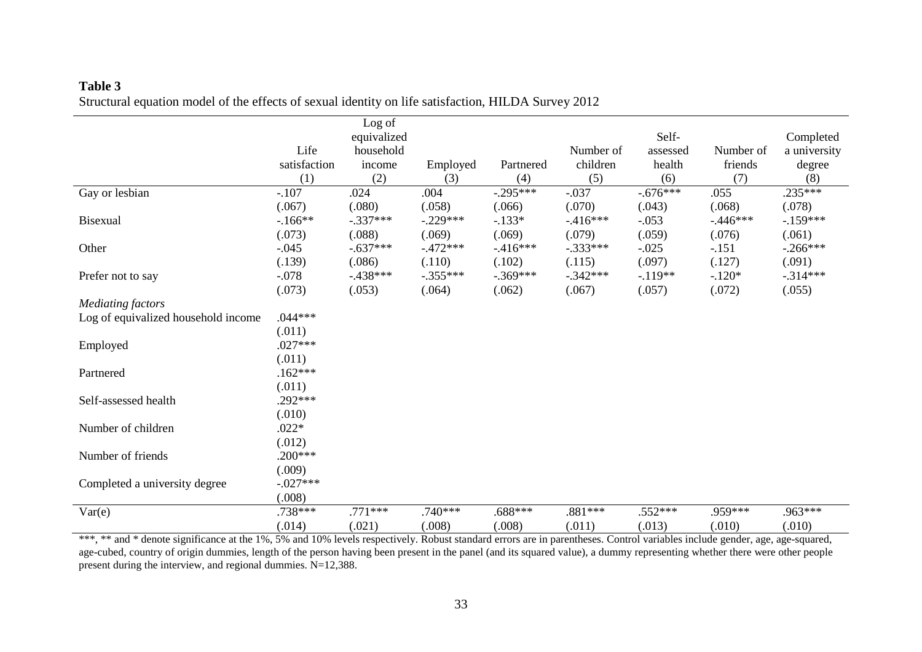|                                     |              | Log of                   |            |            |            | Self-      |           |                           |
|-------------------------------------|--------------|--------------------------|------------|------------|------------|------------|-----------|---------------------------|
|                                     | Life         | equivalized<br>household |            |            | Number of  | assessed   | Number of | Completed<br>a university |
|                                     | satisfaction | income                   | Employed   | Partnered  | children   | health     | friends   | degree                    |
|                                     | (1)          | (2)                      | (3)        | (4)        | (5)        | (6)        | (7)       | (8)                       |
| Gay or lesbian                      | $-.107$      | .024                     | .004       | $-.295***$ | $-.037$    | $-.676***$ | .055      | $.235***$                 |
|                                     | (.067)       | (.080)                   | (.058)     | (.066)     | (.070)     | (.043)     | (.068)    | (.078)                    |
| Bisexual                            | $-166**$     | $-.337***$               | $-.229***$ | $-.133*$   | $-.416***$ | $-.053$    | $-446***$ | $-159***$                 |
|                                     | (.073)       | (.088)                   | (.069)     | (.069)     | (.079)     | (.059)     | (.076)    | (.061)                    |
| Other                               | $-.045$      | $-.637***$               | $-472***$  | $-416***$  | $-.333***$ | $-.025$    | $-.151$   | $-.266***$                |
|                                     | (.139)       | (.086)                   | (.110)     | (.102)     | (.115)     | (.097)     | (.127)    | (.091)                    |
| Prefer not to say                   | $-.078$      | $-438***$                | $-.355***$ | $-369***$  | $-.342***$ | $-.119**$  | $-.120*$  | $-314***$                 |
|                                     | (.073)       | (.053)                   | (.064)     | (.062)     | (.067)     | (.057)     | (.072)    | (.055)                    |
| <b>Mediating factors</b>            |              |                          |            |            |            |            |           |                           |
| Log of equivalized household income | $.044***$    |                          |            |            |            |            |           |                           |
|                                     | (.011)       |                          |            |            |            |            |           |                           |
| Employed                            | $.027***$    |                          |            |            |            |            |           |                           |
|                                     | (.011)       |                          |            |            |            |            |           |                           |
| Partnered                           | $.162***$    |                          |            |            |            |            |           |                           |
|                                     | (.011)       |                          |            |            |            |            |           |                           |
| Self-assessed health                | .292***      |                          |            |            |            |            |           |                           |
|                                     | (.010)       |                          |            |            |            |            |           |                           |
| Number of children                  | $.022*$      |                          |            |            |            |            |           |                           |
|                                     | (.012)       |                          |            |            |            |            |           |                           |
| Number of friends                   | $.200***$    |                          |            |            |            |            |           |                           |
|                                     | (.009)       |                          |            |            |            |            |           |                           |
| Completed a university degree       | $-.027***$   |                          |            |            |            |            |           |                           |
|                                     | (.008)       |                          |            |            |            |            |           |                           |
| Var(e)                              | .738***      | $.771***$                | $.740***$  | .688***    | .881 ***   | $.552***$  | $.959***$ | .963***                   |
|                                     | (.014)       | (.021)                   | (.008)     | (.008)     | (.011)     | (.013)     | (.010)    | (.010)                    |

### **Table 3** Structural equation model of the effects of sexual identity on life satisfaction, HILDA Survey 2012

\*\*\*, \*\* and \* denote significance at the 1%, 5% and 10% levels respectively. Robust standard errors are in parentheses. Control variables include gender, age, age-squared, age-cubed, country of origin dummies, length of the person having been present in the panel (and its squared value), a dummy representing whether there were other people present during the interview, and regional dummies. N=12,388.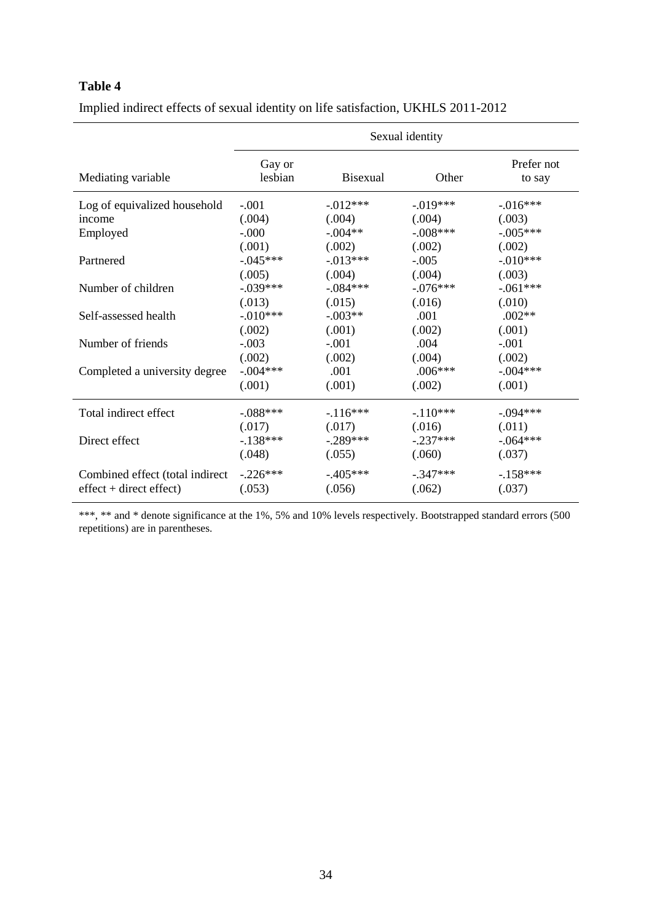| Mediating variable              | Gay or<br>lesbian | <b>Bisexual</b> | Other      | Prefer not<br>to say |
|---------------------------------|-------------------|-----------------|------------|----------------------|
| Log of equivalized household    | $-.001$           | $-0.012***$     | $-.019***$ | $-0.016***$          |
| income                          | (.004)            | (.004)          | (.004)     | (.003)               |
| Employed                        | $-.000$           | $-.004**$       | $-.008***$ | $-.005***$           |
|                                 | (.001)            | (.002)          | (.002)     | (.002)               |
| Partnered                       | $-.045***$        | $-.013***$      | $-.005$    | $-.010***$           |
|                                 | (.005)            | (.004)          | (.004)     | (.003)               |
| Number of children              | $-.039***$        | $-.084***$      | $-.076***$ | $-.061***$           |
|                                 | (.013)            | (.015)          | (.016)     | (.010)               |
| Self-assessed health            | $-.010***$        | $-.003**$       | .001       | $.002**$             |
|                                 | (.002)            | (.001)          | (.002)     | (.001)               |
| Number of friends               | $-.003$           | $-.001$         | .004       | $-.001$              |
|                                 | (.002)            | (.002)          | (.004)     | (.002)               |
| Completed a university degree   | $-.004***$        | .001            | $.006***$  | $-.004***$           |
|                                 | (.001)            | (.001)          | (.002)     | (.001)               |
| Total indirect effect           | $-.088***$        | $-116***$       | $-110***$  | $-.094***$           |
|                                 | (.017)            | (.017)          | (.016)     | (.011)               |
| Direct effect                   | $-138***$         | $-.289***$      | $-.237***$ | $-.064***$           |
|                                 | (.048)            | (.055)          | (.060)     | (.037)               |
| Combined effect (total indirect | $-.226***$        | $-405***$       | $-.347***$ | $-158***$            |
| $effect + direct effect)$       | (.053)            | (.056)          | (.062)     | (.037)               |

Implied indirect effects of sexual identity on life satisfaction, UKHLS 2011-2012

\*\*\*, \*\* and \* denote significance at the 1%, 5% and 10% levels respectively. Bootstrapped standard errors (500 repetitions) are in parentheses.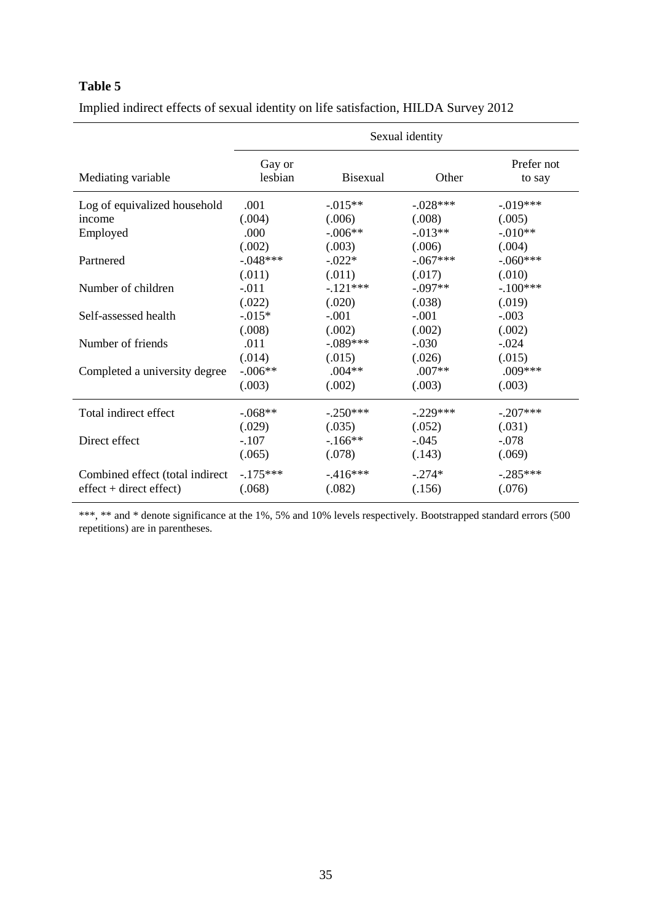|                                 |                               |                              | Sexual identity              |                               |
|---------------------------------|-------------------------------|------------------------------|------------------------------|-------------------------------|
| Mediating variable              | Gay or<br>lesbian             | <b>Bisexual</b>              | Other                        | Prefer not<br>to say          |
| Log of equivalized household    | .001                          | $-0.015**$                   | $-.028***$                   | $-0.019***$                   |
| income                          | (.004)                        | (.006)                       | (.008)                       | (.005)                        |
| Employed                        | .000                          | $-.006**$                    | $-0.013**$                   | $-.010**$                     |
| Partnered                       | (.002)<br>$-.048***$          | (.003)<br>$-.022*$           | (.006)<br>$-.067***$         | (.004)<br>$-.060***$          |
|                                 | (.011)                        | (.011)                       | (.017)                       | (.010)                        |
| Number of children              | $-.011$                       | $-121***$                    | $-.097**$                    | $-.100***$                    |
|                                 | (.022)                        | (.020)                       | (.038)                       | (.019)                        |
| Self-assessed health            | $-0.015*$                     | $-.001$                      | $-.001$                      | $-.003$                       |
|                                 | (.008)                        | (.002)                       | (.002)                       | (.002)                        |
| Number of friends               | .011                          | $-.089***$                   | $-.030$                      | $-.024$                       |
| Completed a university degree   | (.014)<br>$-.006**$<br>(.003) | (.015)<br>$.004**$<br>(.002) | (.026)<br>$.007**$<br>(.003) | (.015)<br>$.009***$<br>(.003) |
| Total indirect effect           | $-.068**$                     | $-.250***$                   | $-.229***$                   | $-.207***$                    |
|                                 | (.029)                        | (.035)                       | (.052)                       | (.031)                        |
| Direct effect                   | $-.107$                       | $-166**$                     | $-.045$                      | $-.078$                       |
|                                 | (.065)                        | (.078)                       | (.143)                       | (.069)                        |
| Combined effect (total indirect | $-175***$                     | $-416***$                    | $-.274*$                     | $-.285***$                    |
| $effect + direct effect)$       | (.068)                        | (.082)                       | (.156)                       | (.076)                        |

Implied indirect effects of sexual identity on life satisfaction, HILDA Survey 2012

\*\*\*, \*\* and \* denote significance at the 1%, 5% and 10% levels respectively. Bootstrapped standard errors (500 repetitions) are in parentheses.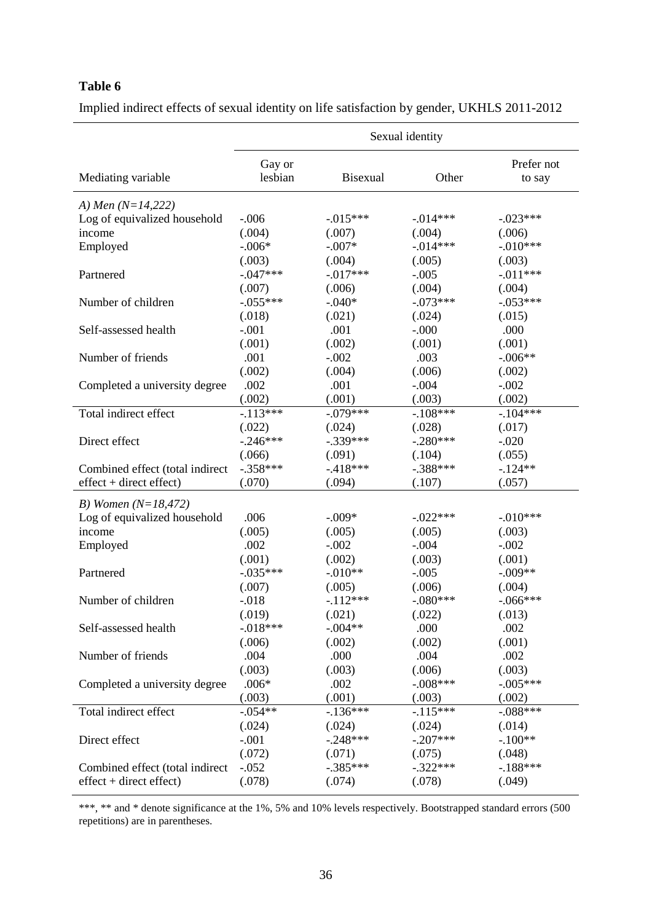|                                 | Sexual identity   |             |             |                      |  |  |  |  |
|---------------------------------|-------------------|-------------|-------------|----------------------|--|--|--|--|
| Mediating variable              | Gay or<br>lesbian | Bisexual    | Other       | Prefer not<br>to say |  |  |  |  |
| A) Men $(N=14,222)$             |                   |             |             |                      |  |  |  |  |
| Log of equivalized household    | $-.006$           | $-0.015***$ | $-0.014***$ | $-0.023***$          |  |  |  |  |
| income                          | (.004)            | (.007)      | (.004)      | (.006)               |  |  |  |  |
| Employed                        | $-.006*$          | $-.007*$    | $-.014***$  | $-.010***$           |  |  |  |  |
|                                 | (.003)            | (.004)      | (.005)      | (.003)               |  |  |  |  |
| Partnered                       | $-.047***$        | $-017***$   | $-.005$     | $-.011***$           |  |  |  |  |
|                                 | (.007)            | (.006)      | (.004)      | (.004)               |  |  |  |  |
| Number of children              | $-.055***$        | $-.040*$    | $-.073***$  | $-.053***$           |  |  |  |  |
|                                 | (.018)            | (.021)      | (.024)      | (.015)               |  |  |  |  |
| Self-assessed health            | $-.001$           | .001        | $-0.000$    | .000                 |  |  |  |  |
|                                 | (.001)            | (.002)      | (.001)      | (.001)               |  |  |  |  |
| Number of friends               | .001              | $-.002$     | .003        | $-.006**$            |  |  |  |  |
|                                 | (.002)            | (.004)      | (.006)      | (.002)               |  |  |  |  |
| Completed a university degree   | .002              | .001        | $-.004$     | $-.002$              |  |  |  |  |
|                                 | (.002)            | (.001)      | (.003)      | (.002)               |  |  |  |  |
| Total indirect effect           | $-.113***$        | $-.079***$  | $-.108***$  | $-104***$            |  |  |  |  |
|                                 | (.022)            | (.024)      | (.028)      | (.017)               |  |  |  |  |
| Direct effect                   | $-.246***$        | $-.339***$  | $-.280***$  | $-.020$              |  |  |  |  |
|                                 | (.066)            | (.091)      | (.104)      | (.055)               |  |  |  |  |
| Combined effect (total indirect | $-.358***$        | $-.418***$  | $-.388***$  | $-124**$             |  |  |  |  |
| $effect + direct effect)$       | (.070)            | (.094)      | (.107)      | (.057)               |  |  |  |  |
| B) Women $(N=18,472)$           |                   |             |             |                      |  |  |  |  |
| Log of equivalized household    | .006              | $-.009*$    | $-.022***$  | $-.010***$           |  |  |  |  |
| income                          | (.005)            | (.005)      | (.005)      | (.003)               |  |  |  |  |
| Employed                        | .002              | $-.002$     | $-.004$     | $-.002$              |  |  |  |  |
|                                 | (.001)            | (.002)      | (.003)      | (.001)               |  |  |  |  |
| Partnered                       | $-0.035***$       | $-.010**$   | $-.005$     | $-.009**$            |  |  |  |  |
|                                 | (.007)            | (.005)      | (.006)      | (.004)               |  |  |  |  |
| Number of children              | $-.018$           | $-112***$   | $-.080***$  | $-.066***$           |  |  |  |  |
|                                 | (.019)            | (.021)      | (.022)      | (.013)               |  |  |  |  |
| Self-assessed health            | $-.018***$        | $-.004**$   | .000        | .002                 |  |  |  |  |
|                                 | (.006)            | (.002)      | (.002)      | (.001)               |  |  |  |  |
| Number of friends               | .004              | .000        | .004        | .002                 |  |  |  |  |
|                                 | (.003)            | (.003)      | (.006)      | (.003)               |  |  |  |  |
| Completed a university degree   | $.006*$           | .002        | $-.008***$  | $-.005***$           |  |  |  |  |
|                                 | (.003)            | (.001)      | (.003)      | (.002)               |  |  |  |  |
| Total indirect effect           | $-.054**$         | $-136***$   | $-115***$   | $-.088***$           |  |  |  |  |
|                                 | (.024)            | (.024)      | (.024)      | (.014)               |  |  |  |  |
| Direct effect                   | $-.001$           | $-.248***$  | $-.207***$  | $-.100**$            |  |  |  |  |
|                                 | (.072)            | (.071)      | (.075)      | (.048)               |  |  |  |  |
| Combined effect (total indirect | $-.052$           | $-.385***$  | $-.322***$  | $-188***$            |  |  |  |  |
| $effect + direct effect)$       | (.078)            | (.074)      | (.078)      | (.049)               |  |  |  |  |

Implied indirect effects of sexual identity on life satisfaction by gender, UKHLS 2011-2012

\*\*\*, \*\* and \* denote significance at the 1%, 5% and 10% levels respectively. Bootstrapped standard errors (500 repetitions) are in parentheses.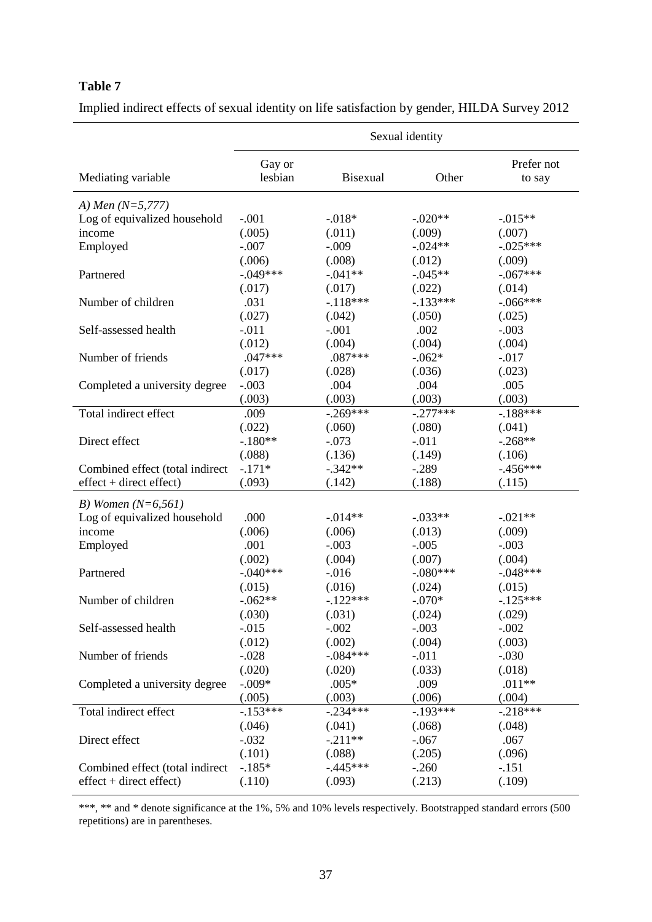|                                 | Sexual identity   |                 |            |                      |  |  |  |  |
|---------------------------------|-------------------|-----------------|------------|----------------------|--|--|--|--|
| Mediating variable              | Gay or<br>lesbian | <b>Bisexual</b> | Other      | Prefer not<br>to say |  |  |  |  |
| A) Men $(N=5,777)$              |                   |                 |            |                      |  |  |  |  |
| Log of equivalized household    | $-.001$           | $-.018*$        | $-.020**$  | $-0.015**$           |  |  |  |  |
| income                          | (.005)            | (.011)          | (.009)     | (.007)               |  |  |  |  |
| Employed                        | $-.007$           | $-.009$         | $-.024**$  | $-.025***$           |  |  |  |  |
|                                 | (.006)            | (.008)          | (.012)     | (.009)               |  |  |  |  |
| Partnered                       | $-.049***$        | $-.041**$       | $-.045**$  | $-.067***$           |  |  |  |  |
|                                 | (.017)            | (.017)          | (.022)     | (.014)               |  |  |  |  |
| Number of children              | .031              | $-118***$       | $-133***$  | $-.066***$           |  |  |  |  |
|                                 | (.027)            | (.042)          | (.050)     | (.025)               |  |  |  |  |
| Self-assessed health            | $-.011$           | $-.001$         | .002       | $-.003$              |  |  |  |  |
|                                 | (.012)            | (.004)          | (.004)     | (.004)               |  |  |  |  |
| Number of friends               | $.047***$         | $.087***$       | $-.062*$   | $-0.017$             |  |  |  |  |
|                                 | (.017)            | (.028)          | (.036)     | (.023)               |  |  |  |  |
| Completed a university degree   | $-.003$           | .004            | .004       | .005                 |  |  |  |  |
|                                 | (.003)            | (.003)          | (.003)     | (.003)               |  |  |  |  |
| Total indirect effect           | .009              | $-.269***$      | $-.277***$ | $-188***$            |  |  |  |  |
|                                 | (.022)            | (.060)          | (.080)     | (.041)               |  |  |  |  |
| Direct effect                   | $-.180**$         | $-.073$         | $-.011$    | $-.268**$            |  |  |  |  |
|                                 | (.088)            | (.136)          | (.149)     | (.106)               |  |  |  |  |
| Combined effect (total indirect | $-.171*$          | $-.342**$       | $-.289$    | $-456***$            |  |  |  |  |
| $effect + direct effect)$       | (.093)            | (.142)          | (.188)     | (.115)               |  |  |  |  |
| B) Women $(N=6,561)$            |                   |                 |            |                      |  |  |  |  |
| Log of equivalized household    | .000              | $-.014**$       | $-.033**$  | $-.021**$            |  |  |  |  |
| income                          | (.006)            | (.006)          | (.013)     | (.009)               |  |  |  |  |
| Employed                        | .001              | $-.003$         | $-.005$    | $-.003$              |  |  |  |  |
|                                 | (.002)            | (.004)          | (.007)     | (.004)               |  |  |  |  |
| Partnered                       | $-.040***$        | $-0.016$        | $-.080***$ | $-.048***$           |  |  |  |  |
|                                 | (.015)            | (.016)          | (.024)     | (.015)               |  |  |  |  |
| Number of children              | $-.062**$         | $-122***$       | $-.070*$   | $-125***$            |  |  |  |  |
|                                 | (.030)            | (.031)          | (.024)     | (.029)               |  |  |  |  |
| Self-assessed health            | $-0.015$          | $-.002$         | $-.003$    | $-.002$              |  |  |  |  |
|                                 | (.012)            | (.002)          | (.004)     | (.003)               |  |  |  |  |
| Number of friends               | $-.028$           | $-.084***$      | $-.011$    | $-.030$              |  |  |  |  |
|                                 | (.020)            | (.020)          | (.033)     | (.018)               |  |  |  |  |
| Completed a university degree   | $-.009*$          | $.005*$         | .009       | $.011**$             |  |  |  |  |
|                                 | (.005)            | (.003)          | (.006)     | (.004)               |  |  |  |  |
| Total indirect effect           | $-.153***$        | $-.234***$      | $-.193***$ | $-.218***$           |  |  |  |  |
|                                 | (.046)            | (.041)          | (.068)     | (.048)               |  |  |  |  |
| Direct effect                   | $-.032$           | $-.211**$       | $-.067$    | .067                 |  |  |  |  |
|                                 | (.101)            | (.088)          | (.205)     | (.096)               |  |  |  |  |
| Combined effect (total indirect | $-185*$           | $-445***$       | $-.260$    | $-.151$              |  |  |  |  |
| $effect + direct effect)$       | (.110)            | (.093)          | (.213)     | (.109)               |  |  |  |  |

Implied indirect effects of sexual identity on life satisfaction by gender, HILDA Survey 2012

\*\*\*, \*\* and \* denote significance at the 1%, 5% and 10% levels respectively. Bootstrapped standard errors (500 repetitions) are in parentheses.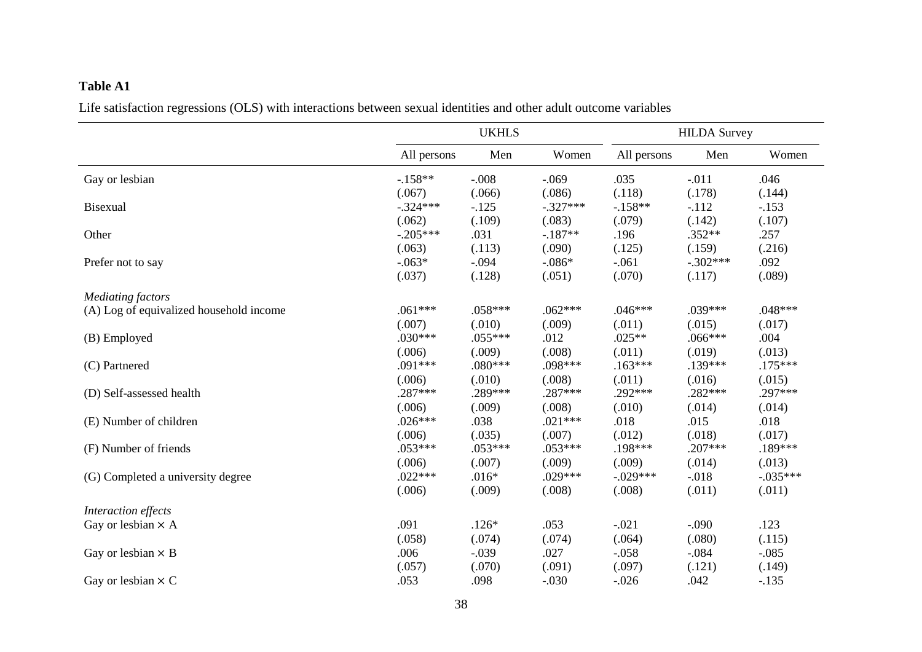# **Table A1**

Life satisfaction regressions (OLS) with interactions between sexual identities and other adult outcome variables

|                                         |             | <b>UKHLS</b> |            | <b>HILDA Survey</b> |            |            |
|-----------------------------------------|-------------|--------------|------------|---------------------|------------|------------|
|                                         | All persons | Men          | Women      | All persons         | Men        | Women      |
| Gay or lesbian                          | $-158**$    | $-.008$      | $-.069$    | .035                | $-.011$    | .046       |
|                                         | (.067)      | (.066)       | (.086)     | (.118)              | (.178)     | (.144)     |
| Bisexual                                | $-.324***$  | $-125$       | $-.327***$ | $-158**$            | $-.112$    | $-.153$    |
|                                         | (.062)      | (.109)       | (.083)     | (.079)              | (.142)     | (.107)     |
| Other                                   | $-.205***$  | .031         | $-.187**$  | .196                | $.352**$   | .257       |
|                                         | (.063)      | (.113)       | (.090)     | (.125)              | (.159)     | (.216)     |
| Prefer not to say                       | $-.063*$    | $-.094$      | $-.086*$   | $-.061$             | $-.302***$ | .092       |
|                                         | (.037)      | (.128)       | (.051)     | (.070)              | (.117)     | (.089)     |
| <b>Mediating factors</b>                |             |              |            |                     |            |            |
| (A) Log of equivalized household income | $.061***$   | $.058***$    | $.062***$  | $.046***$           | $.039***$  | $.048***$  |
|                                         | (.007)      | (.010)       | (.009)     | (.011)              | (.015)     | (.017)     |
| (B) Employed                            | $.030***$   | $.055***$    | .012       | $.025**$            | $.066***$  | .004       |
|                                         | (.006)      | (.009)       | (.008)     | (.011)              | (.019)     | (.013)     |
| (C) Partnered                           | .091 ***    | $.080***$    | .098***    | $.163***$           | .139***    | $.175***$  |
|                                         | (.006)      | (.010)       | (.008)     | (.011)              | (.016)     | (.015)     |
| (D) Self-assessed health                | .287***     | .289***      | .287***    | $.292***$           | .282***    | .297***    |
|                                         | (.006)      | (.009)       | (.008)     | (.010)              | (.014)     | (.014)     |
| (E) Number of children                  | $.026***$   | .038         | $.021***$  | .018                | .015       | .018       |
|                                         | (.006)      | (.035)       | (.007)     | (.012)              | (.018)     | (.017)     |
| (F) Number of friends                   | $.053***$   | $.053***$    | $.053***$  | .198***             | $.207***$  | .189***    |
|                                         | (.006)      | (.007)       | (.009)     | (.009)              | (.014)     | (.013)     |
| (G) Completed a university degree       | $.022***$   | $.016*$      | $.029***$  | $-.029***$          | $-.018$    | $-.035***$ |
|                                         | (.006)      | (.009)       | (.008)     | (.008)              | (.011)     | (.011)     |
| Interaction effects                     |             |              |            |                     |            |            |
| Gay or lesbian $\times$ A               | .091        | $.126*$      | .053       | $-.021$             | $-.090$    | .123       |
|                                         | (.058)      | (.074)       | (.074)     | (.064)              | (.080)     | (.115)     |
| Gay or lesbian $\times$ B               | .006        | $-.039$      | .027       | $-.058$             | $-.084$    | $-.085$    |
|                                         | (.057)      | (.070)       | (.091)     | (.097)              | (.121)     | (.149)     |
| Gay or lesbian $\times$ C               | .053        | .098         | $-.030$    | $-0.026$            | .042       | $-.135$    |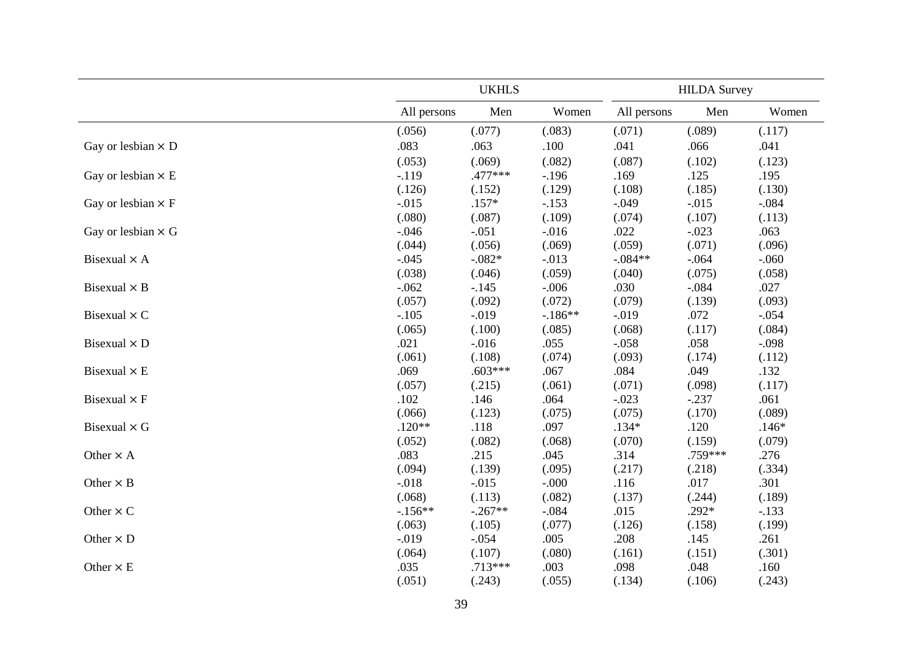|                           |             | <b>UKHLS</b> |          | <b>HILDA Survey</b> |         |          |  |
|---------------------------|-------------|--------------|----------|---------------------|---------|----------|--|
|                           | All persons | Men          | Women    | All persons         | Men     | Women    |  |
|                           | (.056)      | (.077)       | (.083)   | (.071)              | (.089)  | (.117)   |  |
| Gay or lesbian $\times$ D | .083        | .063         | .100     | .041                | .066    | .041     |  |
|                           | (.053)      | (.069)       | (.082)   | (.087)              | (.102)  | (.123)   |  |
| Gay or lesbian $\times$ E | $-.119$     | .477***      | $-.196$  | .169                | .125    | .195     |  |
|                           | (.126)      | (.152)       | (.129)   | (.108)              | (.185)  | (.130)   |  |
| Gay or lesbian $\times$ F | $-.015$     | $.157*$      | $-.153$  | $-.049$             | $-.015$ | $-.084$  |  |
|                           | (.080)      | (.087)       | (.109)   | (.074)              | (.107)  | (.113)   |  |
| Gay or lesbian $\times$ G | $-0.046$    | $-.051$      | $-0.016$ | .022                | $-.023$ | .063     |  |
|                           | (.044)      | (.056)       | (.069)   | (.059)              | (.071)  | (.096)   |  |
| Bisexual $\times$ A       | $-.045$     | $-.082*$     | $-.013$  | $-.084**$           | $-.064$ | $-0.060$ |  |
|                           | (.038)      | (.046)       | (.059)   | (.040)              | (.075)  | (.058)   |  |
| Bisexual $\times$ B       | $-.062$     | $-.145$      | $-.006$  | .030                | $-.084$ | .027     |  |
|                           | (.057)      | (.092)       | (.072)   | (.079)              | (.139)  | (.093)   |  |
| Bisexual $\times$ C       | $-.105$     | $-.019$      | $-186**$ | $-0.019$            | .072    | $-.054$  |  |
|                           | (.065)      | (.100)       | (.085)   | (.068)              | (.117)  | (.084)   |  |
| Bisexual $\times$ D       | .021        | $-0.016$     | .055     | $-.058$             | .058    | $-.098$  |  |
|                           | (.061)      | (.108)       | (.074)   | (.093)              | (.174)  | (.112)   |  |
| Bisexual $\times$ E       | .069        | $.603***$    | .067     | .084                | .049    | .132     |  |
|                           | (.057)      | (.215)       | (.061)   | (.071)              | (.098)  | (.117)   |  |
| Bisexual $\times$ F       | .102        | .146         | .064     | $-.023$             | $-.237$ | .061     |  |
|                           | (.066)      | (.123)       | (.075)   | (.075)              | (.170)  | (.089)   |  |
| Bisexual $\times$ G       | $.120**$    | .118         | .097     | $.134*$             | .120    | $.146*$  |  |
|                           | (.052)      | (.082)       | (.068)   | (.070)              | (.159)  | (.079)   |  |
| Other $\times$ A          | .083        | .215         | .045     | .314                | .759*** | .276     |  |
|                           | (.094)      | (.139)       | (.095)   | (.217)              | (.218)  | (.334)   |  |
| Other $\times$ B          | $-.018$     | $-0.015$     | $-0.000$ | .116                | .017    | .301     |  |
|                           | (.068)      | (.113)       | (.082)   | (.137)              | (.244)  | (.189)   |  |
| Other $\times$ C          | $-156**$    | $-.267**$    | $-.084$  | .015                | $.292*$ | $-.133$  |  |
|                           | (.063)      | (.105)       | (.077)   | (.126)              | (.158)  | (.199)   |  |
| Other $\times$ D          | $-.019$     | $-.054$      | .005     | .208                | .145    | .261     |  |
|                           | (.064)      | (.107)       | (.080)   | (.161)              | (.151)  | (.301)   |  |
| Other $\times$ E          | .035        | $.713***$    | .003     | .098                | .048    | .160     |  |
|                           | (.051)      | (.243)       | (.055)   | (.134)              | (.106)  | (.243)   |  |